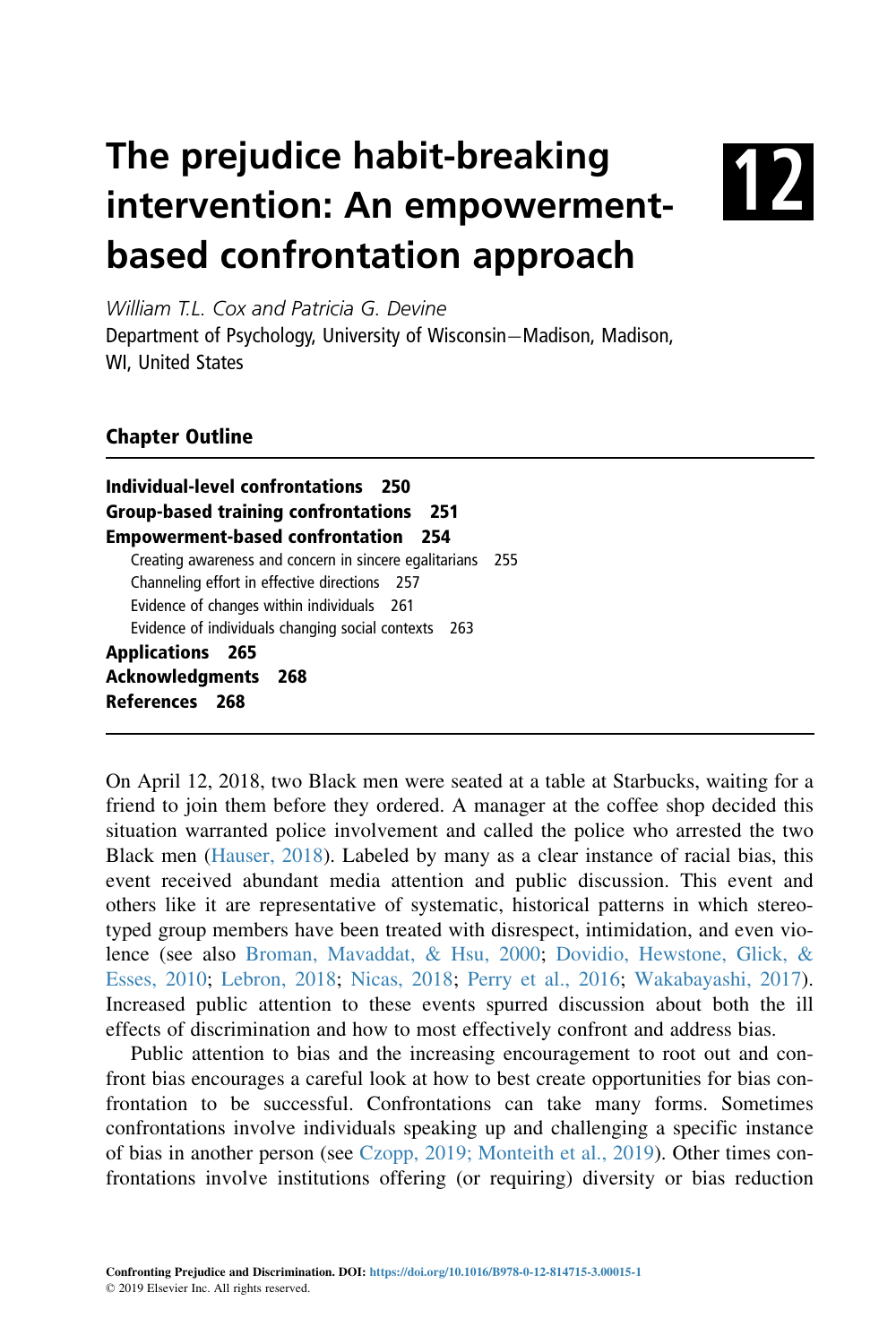# The prejudice habit-breaking<br>intervention: An empowermentbased confrontation approach

William T.L. Cox and Patricia G. Devine Department of Psychology, University of Wisconsin-Madison, Madison, WI, United States

#### Chapter Outline

Individual-level confrontations 250 Group-based training confrontations 251 Empowerment-based confrontation 254 Creating awareness and concern in sincere egalitarians 255 Channeling effort in effective directions 257 Evidence of changes within individuals 261 Evidence of individuals changing social contexts 263 Applications 265 Acknowledgments 268 References 268

On April 12, 2018, two Black men were seated at a table at Starbucks, waiting for a friend to join them before they ordered. A manager at the coffee shop decided this situation warranted police involvement and called the police who arrested the two Black men ([Hauser, 2018\)](#page-22-0). Labeled by many as a clear instance of racial bias, this event received abundant media attention and public discussion. This event and others like it are representative of systematic, historical patterns in which stereotyped group members have been treated with disrespect, intimidation, and even violence (see also [Broman, Mavaddat, & Hsu, 2000;](#page-20-0) [Dovidio, Hewstone, Glick, &](#page-21-0) [Esses, 2010;](#page-21-0) [Lebron, 2018](#page-22-0); [Nicas, 2018](#page-23-0); [Perry et al., 2016;](#page-23-0) [Wakabayashi, 2017](#page-25-0)). Increased public attention to these events spurred discussion about both the ill effects of discrimination and how to most effectively confront and address bias.

Public attention to bias and the increasing encouragement to root out and confront bias encourages a careful look at how to best create opportunities for bias confrontation to be successful. Confrontations can take many forms. Sometimes confrontations involve individuals speaking up and challenging a specific instance of bias in another person (see [Czopp, 2019; Monteith et al., 2019](#page-20-0)). Other times confrontations involve institutions offering (or requiring) diversity or bias reduction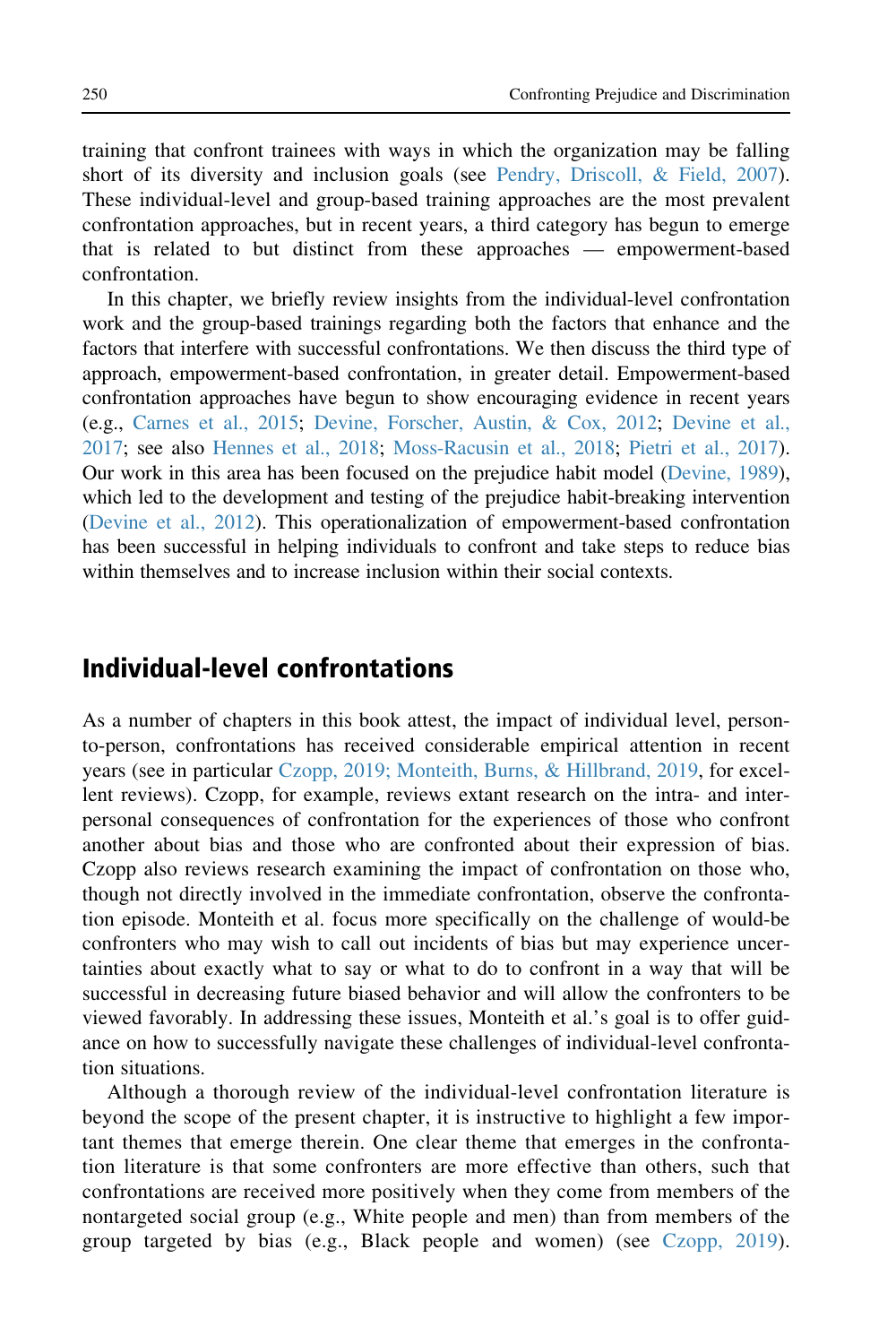training that confront trainees with ways in which the organization may be falling short of its diversity and inclusion goals (see [Pendry, Driscoll, & Field, 2007](#page-23-0)). These individual-level and group-based training approaches are the most prevalent confrontation approaches, but in recent years, a third category has begun to emerge that is related to but distinct from these approaches — empowerment-based confrontation.

In this chapter, we briefly review insights from the individual-level confrontation work and the group-based trainings regarding both the factors that enhance and the factors that interfere with successful confrontations. We then discuss the third type of approach, empowerment-based confrontation, in greater detail. Empowerment-based confrontation approaches have begun to show encouraging evidence in recent years (e.g., [Carnes et al., 2015;](#page-20-0) [Devine, Forscher, Austin, & Cox, 2012;](#page-20-0) [Devine et al.,](#page-21-0) [2017](#page-21-0); see also [Hennes et al., 2018;](#page-22-0) [Moss-Racusin et al., 2018](#page-23-0); [Pietri et al., 2017](#page-24-0)). Our work in this area has been focused on the prejudice habit model ([Devine, 1989](#page-20-0)), which led to the development and testing of the prejudice habit-breaking intervention [\(Devine et al., 2012\)](#page-20-0). This operationalization of empowerment-based confrontation has been successful in helping individuals to confront and take steps to reduce bias within themselves and to increase inclusion within their social contexts.

## Individual-level confrontations

As a number of chapters in this book attest, the impact of individual level, personto-person, confrontations has received considerable empirical attention in recent years (see in particular [Czopp, 2019; Monteith, Burns, & Hillbrand, 2019,](#page-20-0) for excellent reviews). Czopp, for example, reviews extant research on the intra- and interpersonal consequences of confrontation for the experiences of those who confront another about bias and those who are confronted about their expression of bias. Czopp also reviews research examining the impact of confrontation on those who, though not directly involved in the immediate confrontation, observe the confrontation episode. Monteith et al. focus more specifically on the challenge of would-be confronters who may wish to call out incidents of bias but may experience uncertainties about exactly what to say or what to do to confront in a way that will be successful in decreasing future biased behavior and will allow the confronters to be viewed favorably. In addressing these issues, Monteith et al.'s goal is to offer guidance on how to successfully navigate these challenges of individual-level confrontation situations.

Although a thorough review of the individual-level confrontation literature is beyond the scope of the present chapter, it is instructive to highlight a few important themes that emerge therein. One clear theme that emerges in the confrontation literature is that some confronters are more effective than others, such that confrontations are received more positively when they come from members of the nontargeted social group (e.g., White people and men) than from members of the group targeted by bias (e.g., Black people and women) (see [Czopp, 2019](#page-20-0)).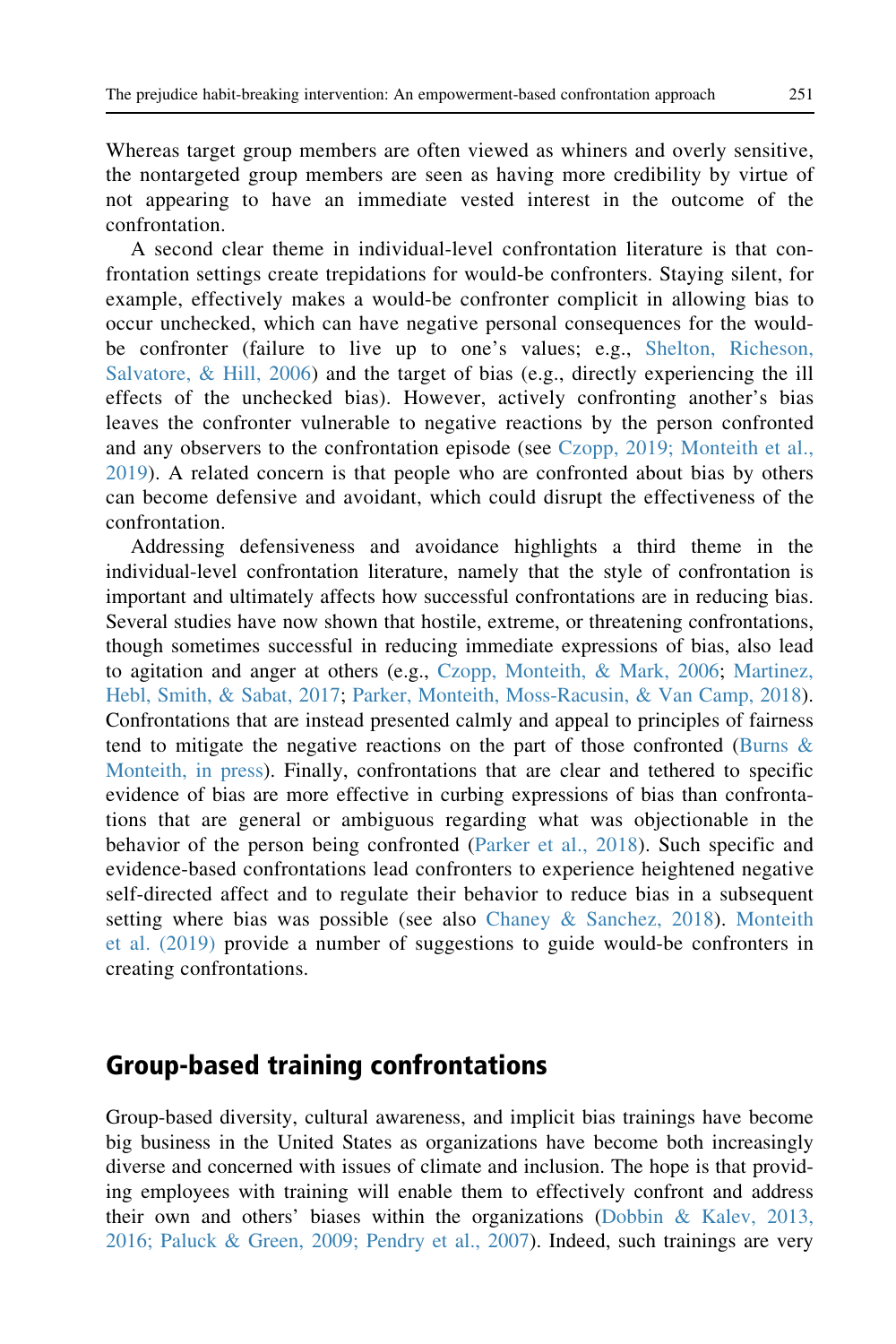Whereas target group members are often viewed as whiners and overly sensitive, the nontargeted group members are seen as having more credibility by virtue of not appearing to have an immediate vested interest in the outcome of the confrontation.

A second clear theme in individual-level confrontation literature is that confrontation settings create trepidations for would-be confronters. Staying silent, for example, effectively makes a would-be confronter complicit in allowing bias to occur unchecked, which can have negative personal consequences for the wouldbe confronter (failure to live up to one's values; e.g., [Shelton, Richeson,](#page-24-0) [Salvatore, & Hill, 2006](#page-24-0)) and the target of bias (e.g., directly experiencing the ill effects of the unchecked bias). However, actively confronting another's bias leaves the confronter vulnerable to negative reactions by the person confronted and any observers to the confrontation episode (see [Czopp, 2019; Monteith et al.,](#page-20-0) [2019](#page-20-0)). A related concern is that people who are confronted about bias by others can become defensive and avoidant, which could disrupt the effectiveness of the confrontation.

Addressing defensiveness and avoidance highlights a third theme in the individual-level confrontation literature, namely that the style of confrontation is important and ultimately affects how successful confrontations are in reducing bias. Several studies have now shown that hostile, extreme, or threatening confrontations, though sometimes successful in reducing immediate expressions of bias, also lead to agitation and anger at others (e.g., [Czopp, Monteith, & Mark, 2006;](#page-20-0) [Martinez,](#page-22-0) [Hebl, Smith, & Sabat, 2017](#page-22-0); [Parker, Monteith, Moss-Racusin, & Van Camp, 2018](#page-23-0)). Confrontations that are instead presented calmly and appeal to principles of fairness tend to mitigate the negative reactions on the part of those confronted (Burns  $\&$ [Monteith, in press\)](#page-20-0). Finally, confrontations that are clear and tethered to specific evidence of bias are more effective in curbing expressions of bias than confrontations that are general or ambiguous regarding what was objectionable in the behavior of the person being confronted ([Parker et al., 2018\)](#page-23-0). Such specific and evidence-based confrontations lead confronters to experience heightened negative self-directed affect and to regulate their behavior to reduce bias in a subsequent setting where bias was possible (see also [Chaney & Sanchez, 2018](#page-20-0)). [Monteith](#page-23-0) [et al. \(2019\)](#page-23-0) provide a number of suggestions to guide would-be confronters in creating confrontations.

## Group-based training confrontations

Group-based diversity, cultural awareness, and implicit bias trainings have become big business in the United States as organizations have become both increasingly diverse and concerned with issues of climate and inclusion. The hope is that providing employees with training will enable them to effectively confront and address their own and others' biases within the organizations [\(Dobbin & Kalev, 2013,](#page-21-0) [2016; Paluck & Green, 2009; Pendry et al., 2007](#page-21-0)). Indeed, such trainings are very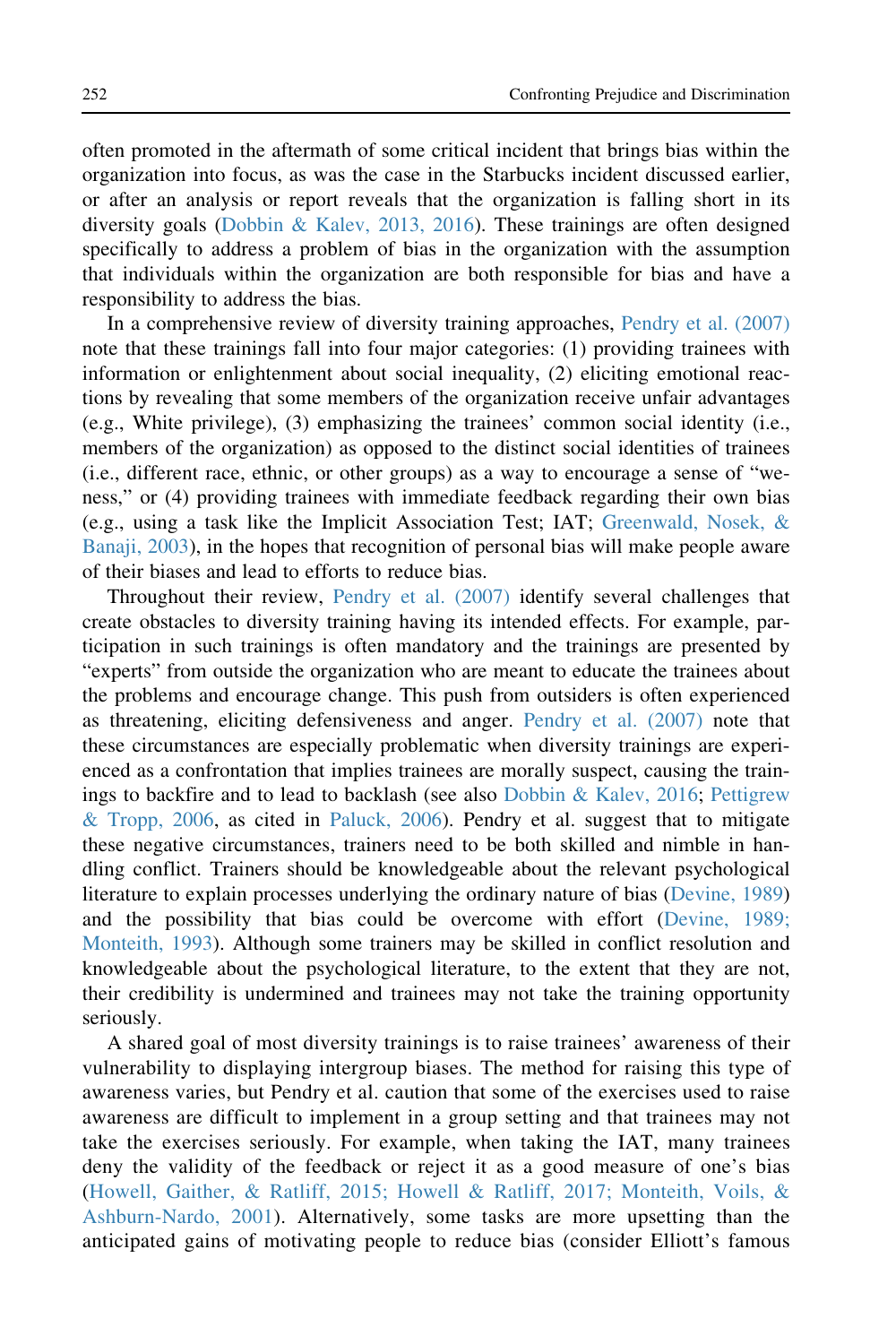often promoted in the aftermath of some critical incident that brings bias within the organization into focus, as was the case in the Starbucks incident discussed earlier, or after an analysis or report reveals that the organization is falling short in its diversity goals ([Dobbin & Kalev, 2013, 2016\)](#page-21-0). These trainings are often designed specifically to address a problem of bias in the organization with the assumption that individuals within the organization are both responsible for bias and have a responsibility to address the bias.

In a comprehensive review of diversity training approaches, [Pendry et al. \(2007\)](#page-23-0) note that these trainings fall into four major categories: (1) providing trainees with information or enlightenment about social inequality, (2) eliciting emotional reactions by revealing that some members of the organization receive unfair advantages (e.g., White privilege), (3) emphasizing the trainees' common social identity (i.e., members of the organization) as opposed to the distinct social identities of trainees (i.e., different race, ethnic, or other groups) as a way to encourage a sense of "weness," or (4) providing trainees with immediate feedback regarding their own bias (e.g., using a task like the Implicit Association Test; IAT; [Greenwald, Nosek, &](#page-22-0) [Banaji, 2003](#page-22-0)), in the hopes that recognition of personal bias will make people aware of their biases and lead to efforts to reduce bias.

Throughout their review, [Pendry et al. \(2007\)](#page-23-0) identify several challenges that create obstacles to diversity training having its intended effects. For example, participation in such trainings is often mandatory and the trainings are presented by "experts" from outside the organization who are meant to educate the trainees about the problems and encourage change. This push from outsiders is often experienced as threatening, eliciting defensiveness and anger. [Pendry et al. \(2007\)](#page-23-0) note that these circumstances are especially problematic when diversity trainings are experienced as a confrontation that implies trainees are morally suspect, causing the train-ings to backfire and to lead to backlash (see also [Dobbin & Kalev, 2016;](#page-21-0) [Pettigrew](#page-24-0) [& Tropp, 2006](#page-24-0), as cited in [Paluck, 2006](#page-23-0)). Pendry et al. suggest that to mitigate these negative circumstances, trainers need to be both skilled and nimble in handling conflict. Trainers should be knowledgeable about the relevant psychological literature to explain processes underlying the ordinary nature of bias [\(Devine, 1989\)](#page-20-0) and the possibility that bias could be overcome with effort [\(Devine, 1989;](#page-20-0) [Monteith, 1993\)](#page-20-0). Although some trainers may be skilled in conflict resolution and knowledgeable about the psychological literature, to the extent that they are not, their credibility is undermined and trainees may not take the training opportunity seriously.

A shared goal of most diversity trainings is to raise trainees' awareness of their vulnerability to displaying intergroup biases. The method for raising this type of awareness varies, but Pendry et al. caution that some of the exercises used to raise awareness are difficult to implement in a group setting and that trainees may not take the exercises seriously. For example, when taking the IAT, many trainees deny the validity of the feedback or reject it as a good measure of one's bias [\(Howell, Gaither, & Ratliff, 2015; Howell & Ratliff, 2017; Monteith, Voils, &](#page-22-0) [Ashburn-Nardo, 2001\)](#page-22-0). Alternatively, some tasks are more upsetting than the anticipated gains of motivating people to reduce bias (consider Elliott's famous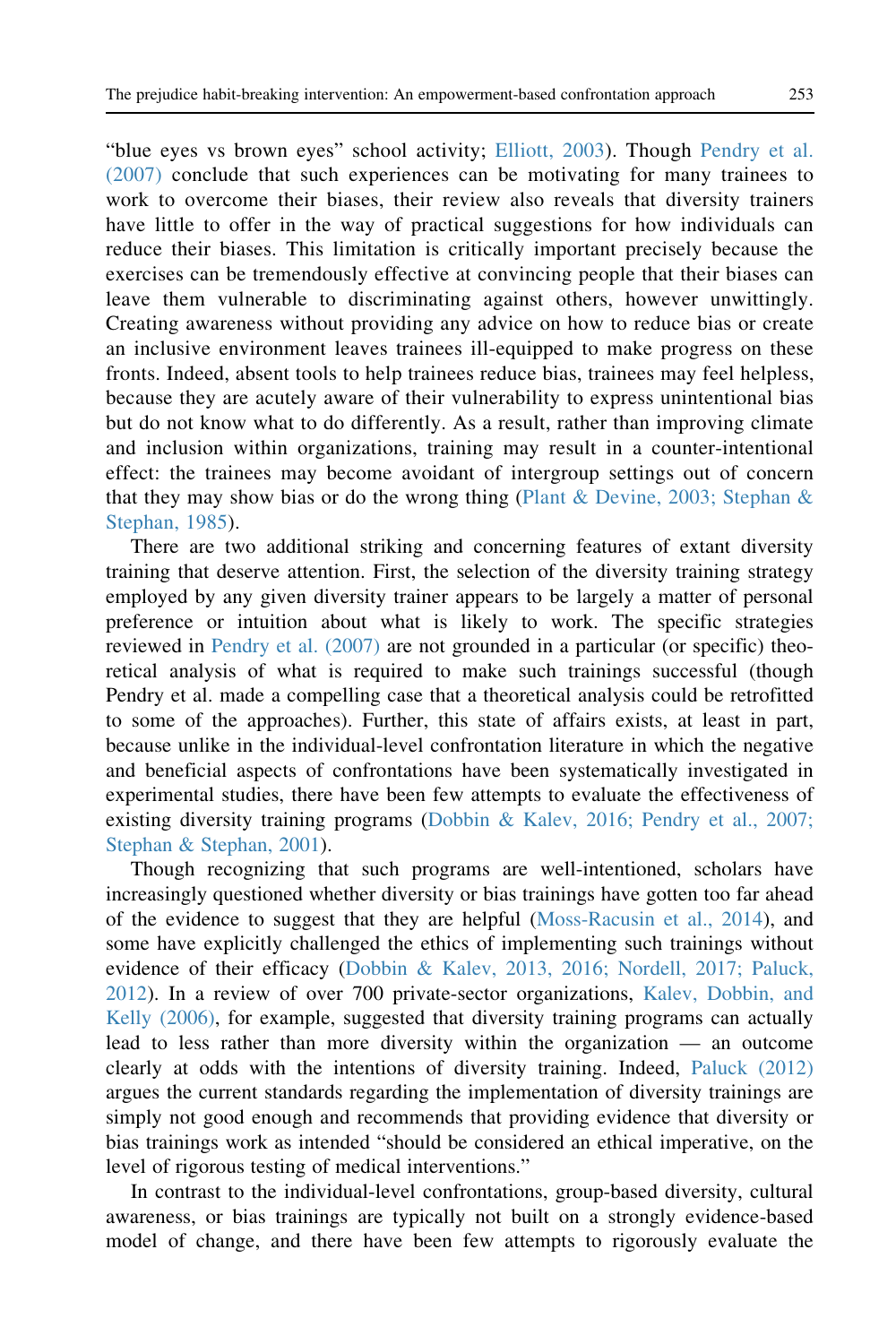"blue eyes vs brown eyes" school activity; [Elliott, 2003\)](#page-21-0). Though [Pendry et al.](#page-23-0) [\(2007\)](#page-23-0) conclude that such experiences can be motivating for many trainees to work to overcome their biases, their review also reveals that diversity trainers have little to offer in the way of practical suggestions for how individuals can reduce their biases. This limitation is critically important precisely because the exercises can be tremendously effective at convincing people that their biases can leave them vulnerable to discriminating against others, however unwittingly. Creating awareness without providing any advice on how to reduce bias or create an inclusive environment leaves trainees ill-equipped to make progress on these fronts. Indeed, absent tools to help trainees reduce bias, trainees may feel helpless, because they are acutely aware of their vulnerability to express unintentional bias but do not know what to do differently. As a result, rather than improving climate and inclusion within organizations, training may result in a counter-intentional effect: the trainees may become avoidant of intergroup settings out of concern that they may show bias or do the wrong thing ([Plant & Devine, 2003; Stephan &](#page-24-0) [Stephan, 1985\)](#page-24-0).

There are two additional striking and concerning features of extant diversity training that deserve attention. First, the selection of the diversity training strategy employed by any given diversity trainer appears to be largely a matter of personal preference or intuition about what is likely to work. The specific strategies reviewed in [Pendry et al. \(2007\)](#page-23-0) are not grounded in a particular (or specific) theoretical analysis of what is required to make such trainings successful (though Pendry et al. made a compelling case that a theoretical analysis could be retrofitted to some of the approaches). Further, this state of affairs exists, at least in part, because unlike in the individual-level confrontation literature in which the negative and beneficial aspects of confrontations have been systematically investigated in experimental studies, there have been few attempts to evaluate the effectiveness of existing diversity training programs [\(Dobbin & Kalev, 2016; Pendry et al., 2007;](#page-21-0) [Stephan & Stephan, 2001](#page-21-0)).

Though recognizing that such programs are well-intentioned, scholars have increasingly questioned whether diversity or bias trainings have gotten too far ahead of the evidence to suggest that they are helpful ([Moss-Racusin et al., 2014\)](#page-23-0), and some have explicitly challenged the ethics of implementing such trainings without evidence of their efficacy ([Dobbin & Kalev, 2013, 2016; Nordell, 2017; Paluck,](#page-21-0) [2012\)](#page-21-0). In a review of over 700 private-sector organizations, [Kalev, Dobbin, and](#page-22-0) [Kelly \(2006\),](#page-22-0) for example, suggested that diversity training programs can actually lead to less rather than more diversity within the organization — an outcome clearly at odds with the intentions of diversity training. Indeed, [Paluck \(2012\)](#page-23-0) argues the current standards regarding the implementation of diversity trainings are simply not good enough and recommends that providing evidence that diversity or bias trainings work as intended "should be considered an ethical imperative, on the level of rigorous testing of medical interventions."

In contrast to the individual-level confrontations, group-based diversity, cultural awareness, or bias trainings are typically not built on a strongly evidence-based model of change, and there have been few attempts to rigorously evaluate the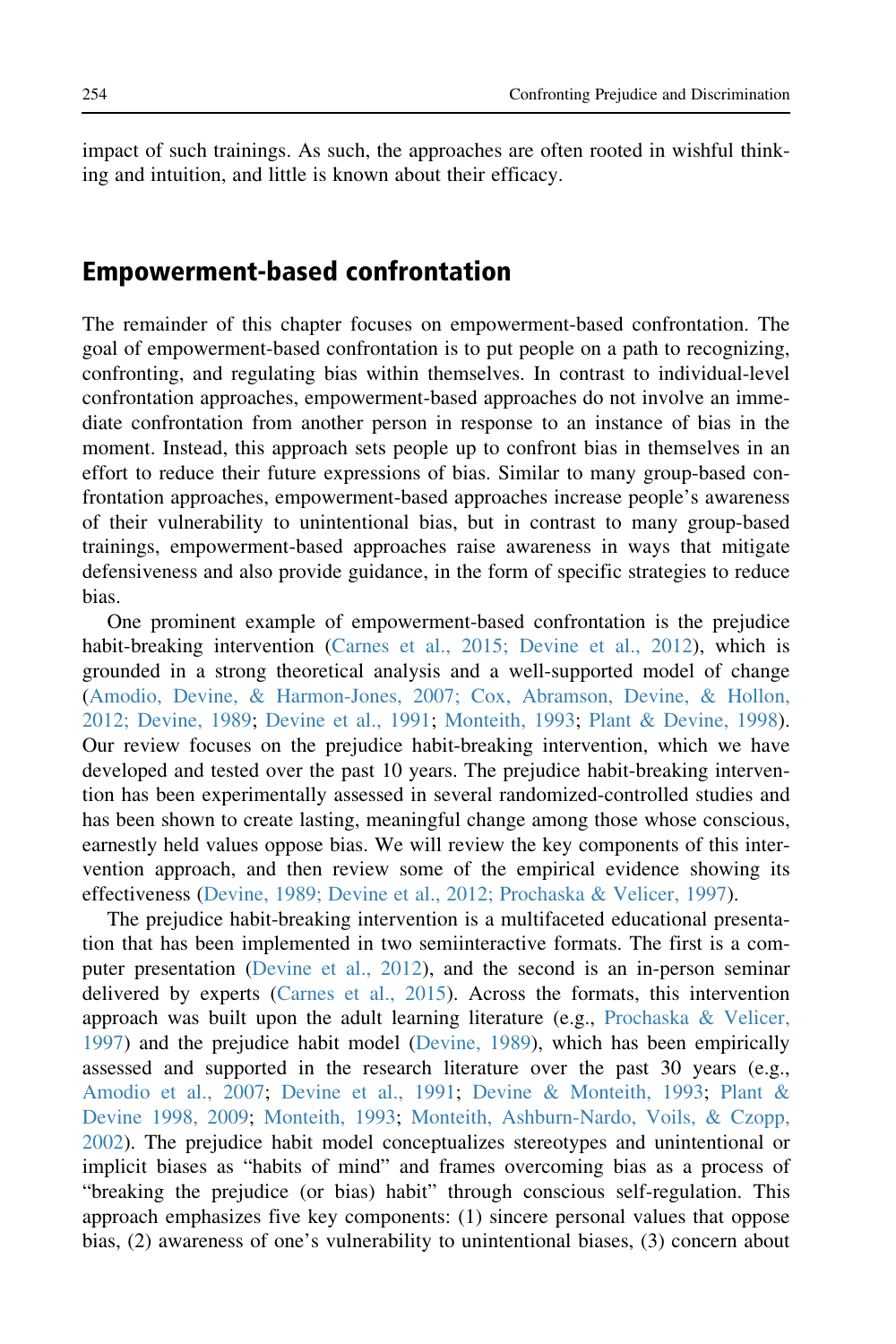impact of such trainings. As such, the approaches are often rooted in wishful thinking and intuition, and little is known about their efficacy.

## Empowerment-based confrontation

The remainder of this chapter focuses on empowerment-based confrontation. The goal of empowerment-based confrontation is to put people on a path to recognizing, confronting, and regulating bias within themselves. In contrast to individual-level confrontation approaches, empowerment-based approaches do not involve an immediate confrontation from another person in response to an instance of bias in the moment. Instead, this approach sets people up to confront bias in themselves in an effort to reduce their future expressions of bias. Similar to many group-based confrontation approaches, empowerment-based approaches increase people's awareness of their vulnerability to unintentional bias, but in contrast to many group-based trainings, empowerment-based approaches raise awareness in ways that mitigate defensiveness and also provide guidance, in the form of specific strategies to reduce bias.

One prominent example of empowerment-based confrontation is the prejudice habit-breaking intervention [\(Carnes et al., 2015; Devine et al., 2012\)](#page-20-0), which is grounded in a strong theoretical analysis and a well-supported model of change [\(Amodio, Devine, & Harmon-Jones, 2007; Cox, Abramson, Devine, & Hollon,](#page-19-0) [2012; Devine, 1989](#page-19-0); [Devine et al., 1991;](#page-21-0) [Monteith, 1993](#page-22-0); [Plant & Devine, 1998](#page-24-0)). Our review focuses on the prejudice habit-breaking intervention, which we have developed and tested over the past 10 years. The prejudice habit-breaking intervention has been experimentally assessed in several randomized-controlled studies and has been shown to create lasting, meaningful change among those whose conscious, earnestly held values oppose bias. We will review the key components of this intervention approach, and then review some of the empirical evidence showing its effectiveness [\(Devine, 1989; Devine et al., 2012; Prochaska & Velicer, 1997](#page-20-0)).

The prejudice habit-breaking intervention is a multifaceted educational presentation that has been implemented in two semiinteractive formats. The first is a computer presentation ([Devine et al., 2012\)](#page-20-0), and the second is an in-person seminar delivered by experts ([Carnes et al., 2015](#page-20-0)). Across the formats, this intervention approach was built upon the adult learning literature (e.g., Prochaska  $\&$  Velicer, [1997\)](#page-24-0) and the prejudice habit model ([Devine, 1989](#page-20-0)), which has been empirically assessed and supported in the research literature over the past 30 years (e.g., [Amodio et al., 2007;](#page-19-0) [Devine et al., 1991;](#page-21-0) [Devine & Monteith, 1993](#page-21-0); [Plant &](#page-24-0) [Devine 1998, 2009;](#page-24-0) [Monteith, 1993;](#page-22-0) [Monteith, Ashburn-Nardo, Voils, & Czopp,](#page-22-0) [2002\)](#page-22-0). The prejudice habit model conceptualizes stereotypes and unintentional or implicit biases as "habits of mind" and frames overcoming bias as a process of "breaking the prejudice (or bias) habit" through conscious self-regulation. This approach emphasizes five key components: (1) sincere personal values that oppose bias, (2) awareness of one's vulnerability to unintentional biases, (3) concern about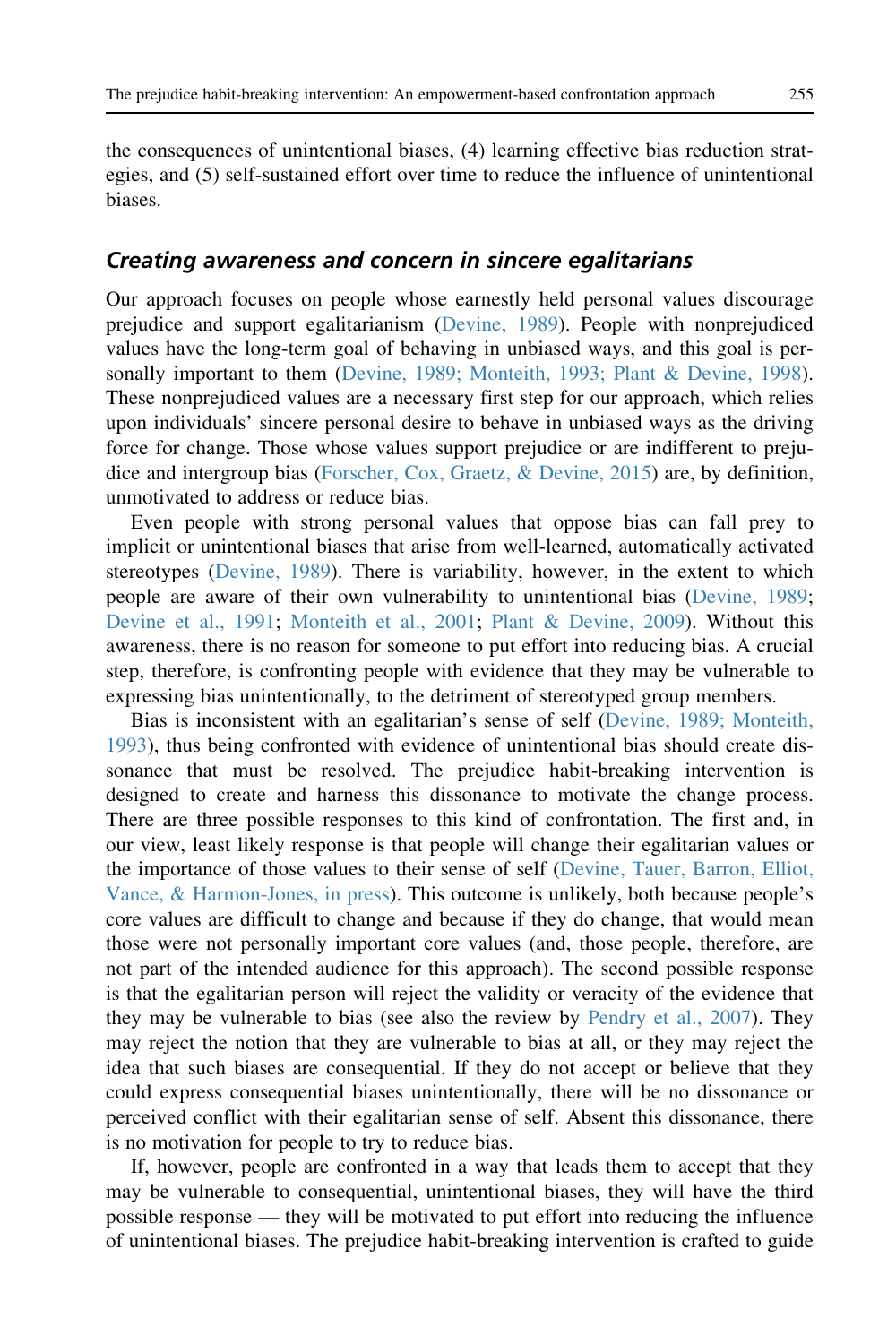the consequences of unintentional biases, (4) learning effective bias reduction strategies, and (5) self-sustained effort over time to reduce the influence of unintentional biases.

## Creating awareness and concern in sincere egalitarians

Our approach focuses on people whose earnestly held personal values discourage prejudice and support egalitarianism ([Devine, 1989](#page-20-0)). People with nonprejudiced values have the long-term goal of behaving in unbiased ways, and this goal is per-sonally important to them ([Devine, 1989; Monteith, 1993; Plant & Devine, 1998](#page-20-0)). These nonprejudiced values are a necessary first step for our approach, which relies upon individuals' sincere personal desire to behave in unbiased ways as the driving force for change. Those whose values support prejudice or are indifferent to prejudice and intergroup bias ([Forscher, Cox, Graetz, & Devine, 2015](#page-21-0)) are, by definition, unmotivated to address or reduce bias.

Even people with strong personal values that oppose bias can fall prey to implicit or unintentional biases that arise from well-learned, automatically activated stereotypes ([Devine, 1989](#page-20-0)). There is variability, however, in the extent to which people are aware of their own vulnerability to unintentional bias ([Devine, 1989](#page-20-0); [Devine et al., 1991;](#page-21-0) [Monteith et al., 2001;](#page-23-0) [Plant & Devine, 2009](#page-24-0)). Without this awareness, there is no reason for someone to put effort into reducing bias. A crucial step, therefore, is confronting people with evidence that they may be vulnerable to expressing bias unintentionally, to the detriment of stereotyped group members.

Bias is inconsistent with an egalitarian's sense of self ([Devine, 1989; Monteith,](#page-20-0) [1993\)](#page-20-0), thus being confronted with evidence of unintentional bias should create dissonance that must be resolved. The prejudice habit-breaking intervention is designed to create and harness this dissonance to motivate the change process. There are three possible responses to this kind of confrontation. The first and, in our view, least likely response is that people will change their egalitarian values or the importance of those values to their sense of self [\(Devine, Tauer, Barron, Elliot,](#page-21-0) [Vance, & Harmon-Jones, in press\)](#page-21-0). This outcome is unlikely, both because people's core values are difficult to change and because if they do change, that would mean those were not personally important core values (and, those people, therefore, are not part of the intended audience for this approach). The second possible response is that the egalitarian person will reject the validity or veracity of the evidence that they may be vulnerable to bias (see also the review by [Pendry et al., 2007](#page-23-0)). They may reject the notion that they are vulnerable to bias at all, or they may reject the idea that such biases are consequential. If they do not accept or believe that they could express consequential biases unintentionally, there will be no dissonance or perceived conflict with their egalitarian sense of self. Absent this dissonance, there is no motivation for people to try to reduce bias.

If, however, people are confronted in a way that leads them to accept that they may be vulnerable to consequential, unintentional biases, they will have the third possible response — they will be motivated to put effort into reducing the influence of unintentional biases. The prejudice habit-breaking intervention is crafted to guide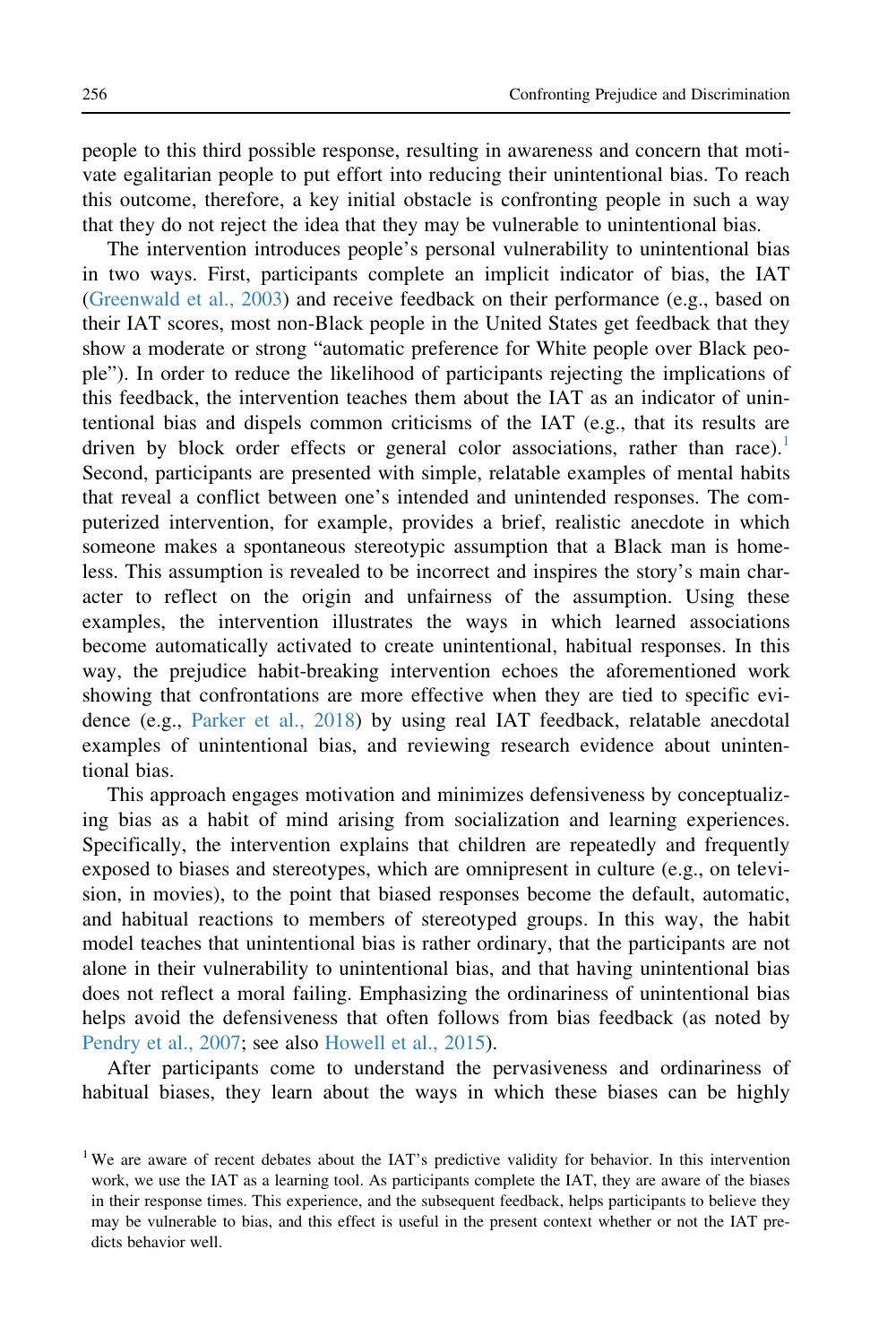people to this third possible response, resulting in awareness and concern that motivate egalitarian people to put effort into reducing their unintentional bias. To reach this outcome, therefore, a key initial obstacle is confronting people in such a way that they do not reject the idea that they may be vulnerable to unintentional bias.

The intervention introduces people's personal vulnerability to unintentional bias in two ways. First, participants complete an implicit indicator of bias, the IAT [\(Greenwald et al., 2003](#page-22-0)) and receive feedback on their performance (e.g., based on their IAT scores, most non-Black people in the United States get feedback that they show a moderate or strong "automatic preference for White people over Black people"). In order to reduce the likelihood of participants rejecting the implications of this feedback, the intervention teaches them about the IAT as an indicator of unintentional bias and dispels common criticisms of the IAT (e.g., that its results are driven by block order effects or general color associations, rather than race).<sup>1</sup> Second, participants are presented with simple, relatable examples of mental habits that reveal a conflict between one's intended and unintended responses. The computerized intervention, for example, provides a brief, realistic anecdote in which someone makes a spontaneous stereotypic assumption that a Black man is homeless. This assumption is revealed to be incorrect and inspires the story's main character to reflect on the origin and unfairness of the assumption. Using these examples, the intervention illustrates the ways in which learned associations become automatically activated to create unintentional, habitual responses. In this way, the prejudice habit-breaking intervention echoes the aforementioned work showing that confrontations are more effective when they are tied to specific evidence (e.g., [Parker et al., 2018](#page-23-0)) by using real IAT feedback, relatable anecdotal examples of unintentional bias, and reviewing research evidence about unintentional bias.

This approach engages motivation and minimizes defensiveness by conceptualizing bias as a habit of mind arising from socialization and learning experiences. Specifically, the intervention explains that children are repeatedly and frequently exposed to biases and stereotypes, which are omnipresent in culture (e.g., on television, in movies), to the point that biased responses become the default, automatic, and habitual reactions to members of stereotyped groups. In this way, the habit model teaches that unintentional bias is rather ordinary, that the participants are not alone in their vulnerability to unintentional bias, and that having unintentional bias does not reflect a moral failing. Emphasizing the ordinariness of unintentional bias helps avoid the defensiveness that often follows from bias feedback (as noted by [Pendry et al., 2007](#page-23-0); see also [Howell et al., 2015](#page-22-0)).

After participants come to understand the pervasiveness and ordinariness of habitual biases, they learn about the ways in which these biases can be highly

<sup>&</sup>lt;sup>1</sup>We are aware of recent debates about the IAT's predictive validity for behavior. In this intervention work, we use the IAT as a learning tool. As participants complete the IAT, they are aware of the biases in their response times. This experience, and the subsequent feedback, helps participants to believe they may be vulnerable to bias, and this effect is useful in the present context whether or not the IAT predicts behavior well.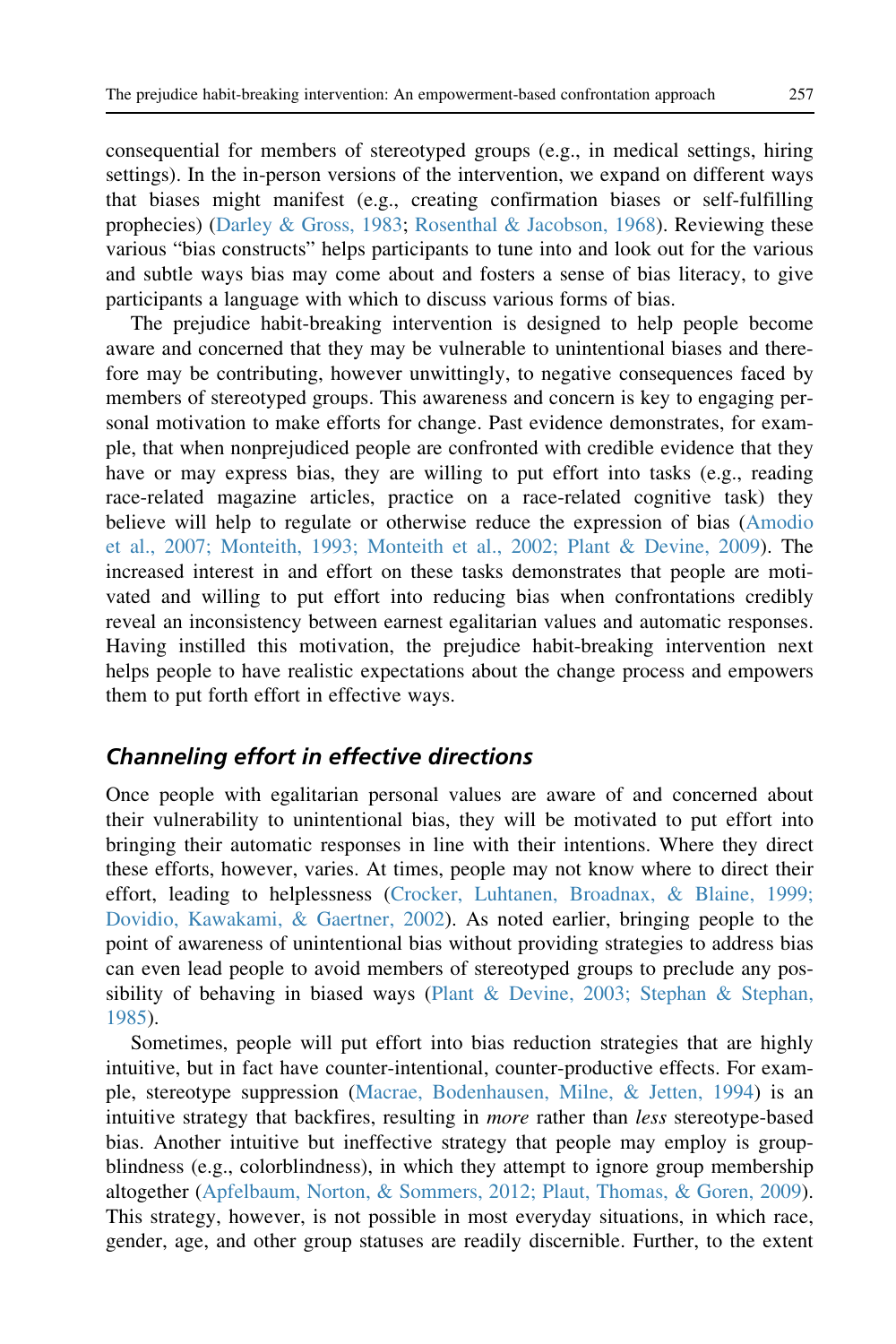consequential for members of stereotyped groups (e.g., in medical settings, hiring settings). In the in-person versions of the intervention, we expand on different ways that biases might manifest (e.g., creating confirmation biases or self-fulfilling prophecies) [\(Darley & Gross, 1983](#page-20-0); [Rosenthal & Jacobson, 1968](#page-24-0)). Reviewing these various "bias constructs" helps participants to tune into and look out for the various and subtle ways bias may come about and fosters a sense of bias literacy, to give participants a language with which to discuss various forms of bias.

The prejudice habit-breaking intervention is designed to help people become aware and concerned that they may be vulnerable to unintentional biases and therefore may be contributing, however unwittingly, to negative consequences faced by members of stereotyped groups. This awareness and concern is key to engaging personal motivation to make efforts for change. Past evidence demonstrates, for example, that when nonprejudiced people are confronted with credible evidence that they have or may express bias, they are willing to put effort into tasks (e.g., reading race-related magazine articles, practice on a race-related cognitive task) they believe will help to regulate or otherwise reduce the expression of bias ([Amodio](#page-19-0) [et al., 2007; Monteith, 1993; Monteith et al., 2002; Plant & Devine, 2009\)](#page-19-0). The increased interest in and effort on these tasks demonstrates that people are motivated and willing to put effort into reducing bias when confrontations credibly reveal an inconsistency between earnest egalitarian values and automatic responses. Having instilled this motivation, the prejudice habit-breaking intervention next helps people to have realistic expectations about the change process and empowers them to put forth effort in effective ways.

## Channeling effort in effective directions

Once people with egalitarian personal values are aware of and concerned about their vulnerability to unintentional bias, they will be motivated to put effort into bringing their automatic responses in line with their intentions. Where they direct these efforts, however, varies. At times, people may not know where to direct their effort, leading to helplessness [\(Crocker, Luhtanen, Broadnax, & Blaine, 1999;](#page-20-0) [Dovidio, Kawakami, & Gaertner, 2002](#page-20-0)). As noted earlier, bringing people to the point of awareness of unintentional bias without providing strategies to address bias can even lead people to avoid members of stereotyped groups to preclude any possibility of behaving in biased ways [\(Plant & Devine, 2003; Stephan & Stephan,](#page-24-0) [1985\)](#page-24-0).

Sometimes, people will put effort into bias reduction strategies that are highly intuitive, but in fact have counter-intentional, counter-productive effects. For example, stereotype suppression [\(Macrae, Bodenhausen, Milne, & Jetten, 1994\)](#page-22-0) is an intuitive strategy that backfires, resulting in more rather than less stereotype-based bias. Another intuitive but ineffective strategy that people may employ is groupblindness (e.g., colorblindness), in which they attempt to ignore group membership altogether [\(Apfelbaum, Norton, & Sommers, 2012; Plaut, Thomas, & Goren, 2009](#page-19-0)). This strategy, however, is not possible in most everyday situations, in which race, gender, age, and other group statuses are readily discernible. Further, to the extent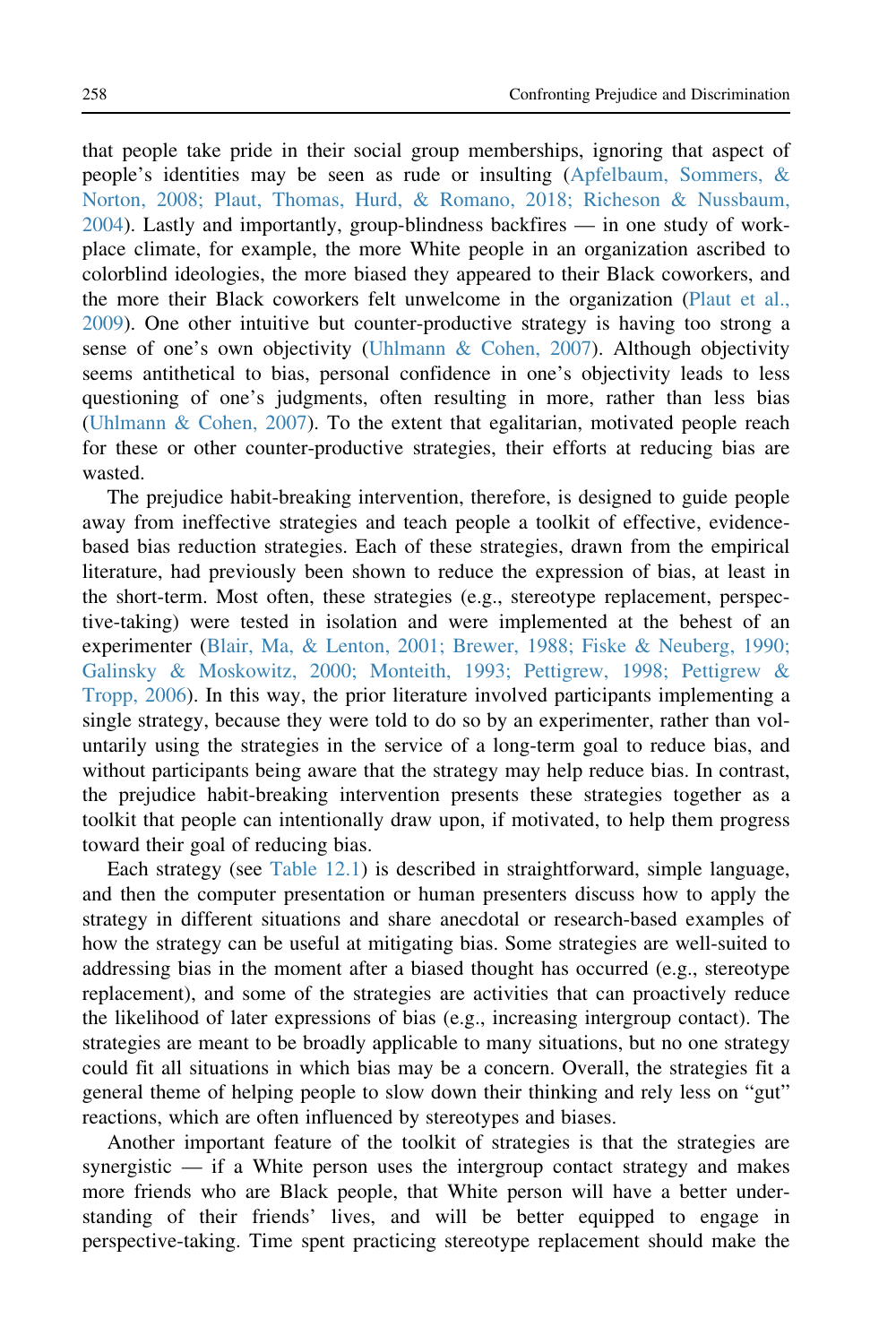that people take pride in their social group memberships, ignoring that aspect of people's identities may be seen as rude or insulting ([Apfelbaum, Sommers, &](#page-19-0) [Norton, 2008; Plaut, Thomas, Hurd, & Romano, 2018; Richeson & Nussbaum,](#page-19-0) [2004\)](#page-19-0). Lastly and importantly, group-blindness backfires — in one study of workplace climate, for example, the more White people in an organization ascribed to colorblind ideologies, the more biased they appeared to their Black coworkers, and the more their Black coworkers felt unwelcome in the organization [\(Plaut et al.,](#page-24-0) [2009\)](#page-24-0). One other intuitive but counter-productive strategy is having too strong a sense of one's own objectivity ([Uhlmann & Cohen, 2007](#page-25-0)). Although objectivity seems antithetical to bias, personal confidence in one's objectivity leads to less questioning of one's judgments, often resulting in more, rather than less bias [\(Uhlmann & Cohen, 2007](#page-25-0)). To the extent that egalitarian, motivated people reach for these or other counter-productive strategies, their efforts at reducing bias are wasted.

The prejudice habit-breaking intervention, therefore, is designed to guide people away from ineffective strategies and teach people a toolkit of effective, evidencebased bias reduction strategies. Each of these strategies, drawn from the empirical literature, had previously been shown to reduce the expression of bias, at least in the short-term. Most often, these strategies (e.g., stereotype replacement, perspective-taking) were tested in isolation and were implemented at the behest of an experimenter ([Blair, Ma, & Lenton, 2001; Brewer, 1988; Fiske & Neuberg, 1990;](#page-19-0) [Galinsky & Moskowitz, 2000; Monteith, 1993; Pettigrew, 1998; Pettigrew &](#page-19-0) [Tropp, 2006\)](#page-19-0). In this way, the prior literature involved participants implementing a single strategy, because they were told to do so by an experimenter, rather than voluntarily using the strategies in the service of a long-term goal to reduce bias, and without participants being aware that the strategy may help reduce bias. In contrast, the prejudice habit-breaking intervention presents these strategies together as a toolkit that people can intentionally draw upon, if motivated, to help them progress toward their goal of reducing bias.

Each strategy (see [Table 12.1](#page-10-0)) is described in straightforward, simple language, and then the computer presentation or human presenters discuss how to apply the strategy in different situations and share anecdotal or research-based examples of how the strategy can be useful at mitigating bias. Some strategies are well-suited to addressing bias in the moment after a biased thought has occurred (e.g., stereotype replacement), and some of the strategies are activities that can proactively reduce the likelihood of later expressions of bias (e.g., increasing intergroup contact). The strategies are meant to be broadly applicable to many situations, but no one strategy could fit all situations in which bias may be a concern. Overall, the strategies fit a general theme of helping people to slow down their thinking and rely less on "gut" reactions, which are often influenced by stereotypes and biases.

Another important feature of the toolkit of strategies is that the strategies are synergistic — if a White person uses the intergroup contact strategy and makes more friends who are Black people, that White person will have a better understanding of their friends' lives, and will be better equipped to engage in perspective-taking. Time spent practicing stereotype replacement should make the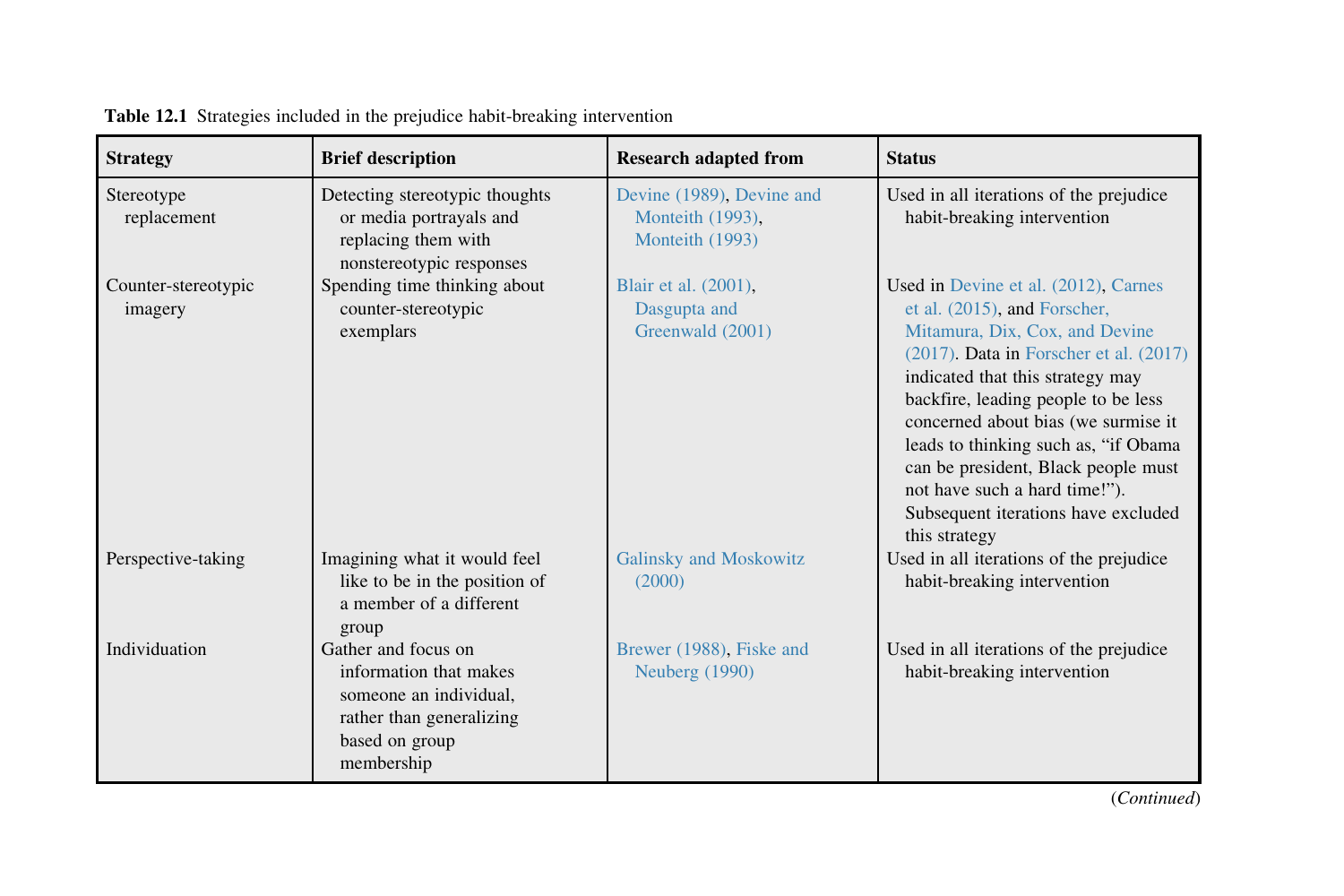| <b>Strategy</b>                | <b>Brief description</b>                                                                                                            | <b>Research adapted from</b>                                     | <b>Status</b>                                                                                                                                                                                                                                                                                                                                                                                                                                   |
|--------------------------------|-------------------------------------------------------------------------------------------------------------------------------------|------------------------------------------------------------------|-------------------------------------------------------------------------------------------------------------------------------------------------------------------------------------------------------------------------------------------------------------------------------------------------------------------------------------------------------------------------------------------------------------------------------------------------|
| Stereotype<br>replacement      | Detecting stereotypic thoughts<br>or media portrayals and<br>replacing them with<br>nonstereotypic responses                        | Devine (1989), Devine and<br>Monteith (1993).<br>Monteith (1993) | Used in all iterations of the prejudice<br>habit-breaking intervention                                                                                                                                                                                                                                                                                                                                                                          |
| Counter-stereotypic<br>imagery | Spending time thinking about<br>counter-stereotypic<br>exemplars                                                                    | Blair et al. (2001),<br>Dasgupta and<br>Greenwald (2001)         | Used in Devine et al. (2012), Carnes<br>et al. (2015), and Forscher,<br>Mitamura, Dix, Cox, and Devine<br>$(2017)$ . Data in Forscher et al. $(2017)$<br>indicated that this strategy may<br>backfire, leading people to be less<br>concerned about bias (we surmise it<br>leads to thinking such as, "if Obama<br>can be president, Black people must<br>not have such a hard time!").<br>Subsequent iterations have excluded<br>this strategy |
| Perspective-taking             | Imagining what it would feel<br>like to be in the position of<br>a member of a different<br>group                                   | <b>Galinsky and Moskowitz</b><br>(2000)                          | Used in all iterations of the prejudice<br>habit-breaking intervention                                                                                                                                                                                                                                                                                                                                                                          |
| Individuation                  | Gather and focus on<br>information that makes<br>someone an individual,<br>rather than generalizing<br>based on group<br>membership | Brewer (1988), Fiske and<br>Neuberg (1990)                       | Used in all iterations of the prejudice<br>habit-breaking intervention                                                                                                                                                                                                                                                                                                                                                                          |

<span id="page-10-0"></span>

| Table 12.1 Strategies included in the prejudice habit-breaking intervention |
|-----------------------------------------------------------------------------|
|-----------------------------------------------------------------------------|

(Continued)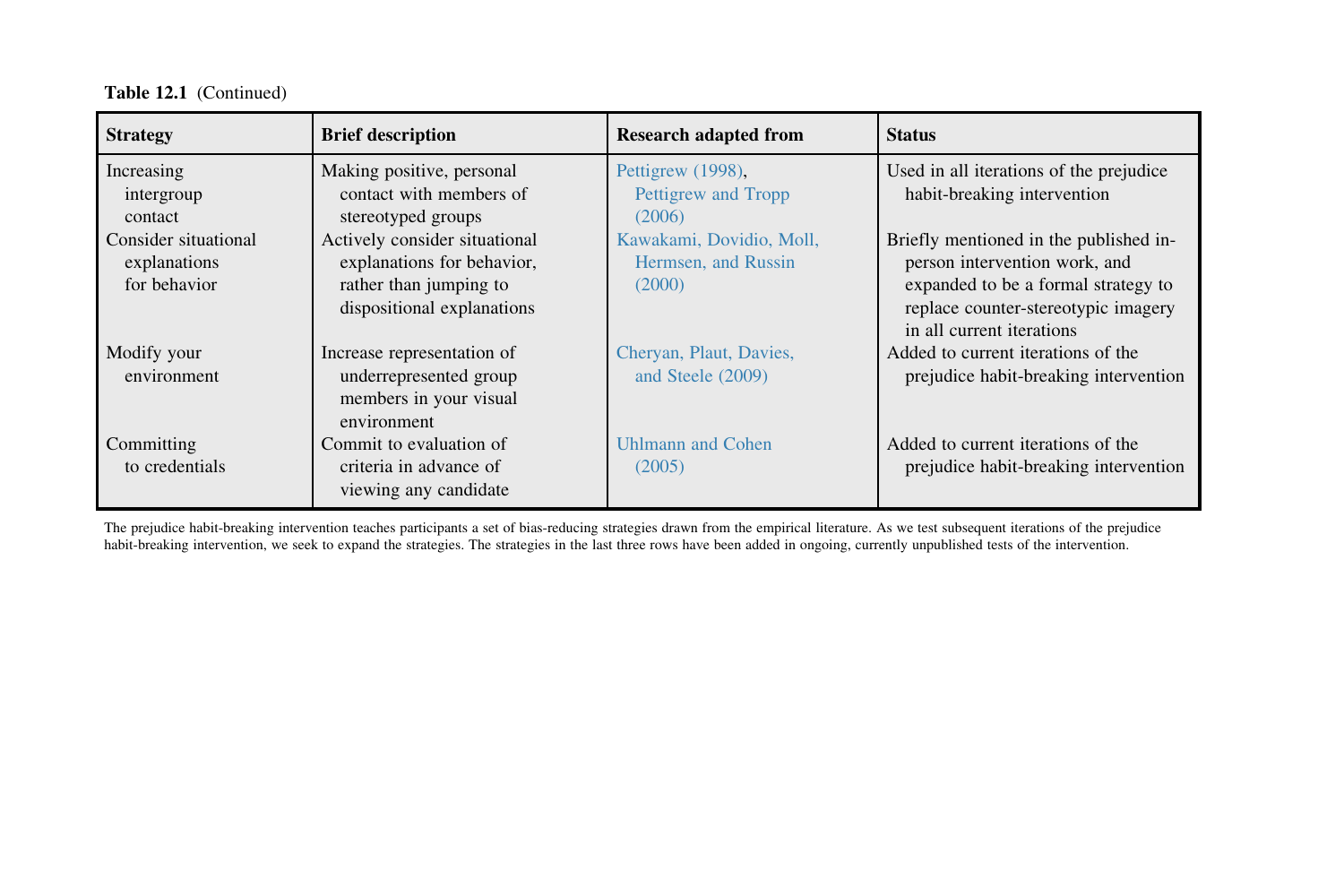| <b>Strategy</b>                                 | <b>Brief description</b>                                                                      | <b>Research adapted from</b>                              | <b>Status</b>                                                                                           |
|-------------------------------------------------|-----------------------------------------------------------------------------------------------|-----------------------------------------------------------|---------------------------------------------------------------------------------------------------------|
| Increasing<br>intergroup                        | Making positive, personal<br>contact with members of                                          | Pettigrew (1998).<br>Pettigrew and Tropp                  | Used in all iterations of the prejudice<br>habit-breaking intervention                                  |
| contact<br>Consider situational<br>explanations | stereotyped groups<br>Actively consider situational<br>explanations for behavior,             | (2006)<br>Kawakami, Dovidio, Moll,<br>Hermsen, and Russin | Briefly mentioned in the published in-<br>person intervention work, and                                 |
| for behavior                                    | rather than jumping to<br>dispositional explanations                                          | (2000)                                                    | expanded to be a formal strategy to<br>replace counter-stereotypic imagery<br>in all current iterations |
| Modify your<br>environment                      | Increase representation of<br>underrepresented group<br>members in your visual<br>environment | Cheryan, Plaut, Davies,<br>and Steele (2009)              | Added to current iterations of the<br>prejudice habit-breaking intervention                             |
| Committing<br>to credentials                    | Commit to evaluation of<br>criteria in advance of<br>viewing any candidate                    | <b>Uhlmann and Cohen</b><br>(2005)                        | Added to current iterations of the<br>prejudice habit-breaking intervention                             |

Table 12.1 (Continued)

The prejudice habit-breaking intervention teaches participants a set of bias-reducing strategies drawn from the empirical literature. As we test subsequent iterations of the prejudice<br>habit-breaking intervention, we seek t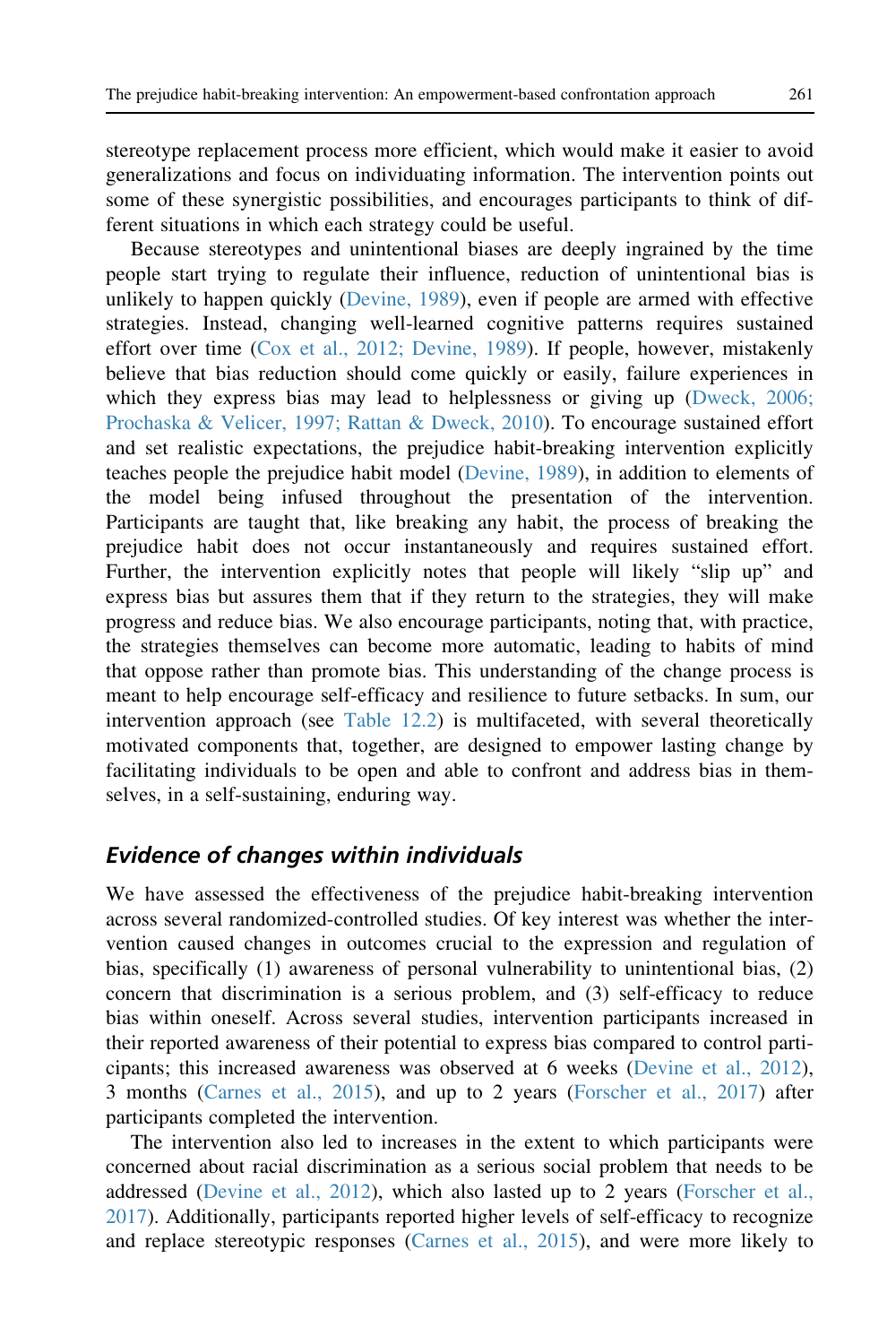stereotype replacement process more efficient, which would make it easier to avoid generalizations and focus on individuating information. The intervention points out some of these synergistic possibilities, and encourages participants to think of different situations in which each strategy could be useful.

Because stereotypes and unintentional biases are deeply ingrained by the time people start trying to regulate their influence, reduction of unintentional bias is unlikely to happen quickly ([Devine, 1989\)](#page-20-0), even if people are armed with effective strategies. Instead, changing well-learned cognitive patterns requires sustained effort over time [\(Cox et al., 2012; Devine, 1989\)](#page-20-0). If people, however, mistakenly believe that bias reduction should come quickly or easily, failure experiences in which they express bias may lead to helplessness or giving up ([Dweck, 2006;](#page-21-0) [Prochaska & Velicer, 1997; Rattan & Dweck, 2010\)](#page-21-0). To encourage sustained effort and set realistic expectations, the prejudice habit-breaking intervention explicitly teaches people the prejudice habit model ([Devine, 1989](#page-20-0)), in addition to elements of the model being infused throughout the presentation of the intervention. Participants are taught that, like breaking any habit, the process of breaking the prejudice habit does not occur instantaneously and requires sustained effort. Further, the intervention explicitly notes that people will likely "slip up" and express bias but assures them that if they return to the strategies, they will make progress and reduce bias. We also encourage participants, noting that, with practice, the strategies themselves can become more automatic, leading to habits of mind that oppose rather than promote bias. This understanding of the change process is meant to help encourage self-efficacy and resilience to future setbacks. In sum, our intervention approach (see [Table 12.2\)](#page-13-0) is multifaceted, with several theoretically motivated components that, together, are designed to empower lasting change by facilitating individuals to be open and able to confront and address bias in themselves, in a self-sustaining, enduring way.

### Evidence of changes within individuals

We have assessed the effectiveness of the prejudice habit-breaking intervention across several randomized-controlled studies. Of key interest was whether the intervention caused changes in outcomes crucial to the expression and regulation of bias, specifically (1) awareness of personal vulnerability to unintentional bias, (2) concern that discrimination is a serious problem, and (3) self-efficacy to reduce bias within oneself. Across several studies, intervention participants increased in their reported awareness of their potential to express bias compared to control participants; this increased awareness was observed at 6 weeks [\(Devine et al., 2012](#page-20-0)), 3 months [\(Carnes et al., 2015](#page-20-0)), and up to 2 years ([Forscher et al., 2017\)](#page-21-0) after participants completed the intervention.

The intervention also led to increases in the extent to which participants were concerned about racial discrimination as a serious social problem that needs to be addressed ([Devine et al., 2012\)](#page-20-0), which also lasted up to 2 years [\(Forscher et al.,](#page-21-0) [2017\)](#page-21-0). Additionally, participants reported higher levels of self-efficacy to recognize and replace stereotypic responses [\(Carnes et al., 2015](#page-20-0)), and were more likely to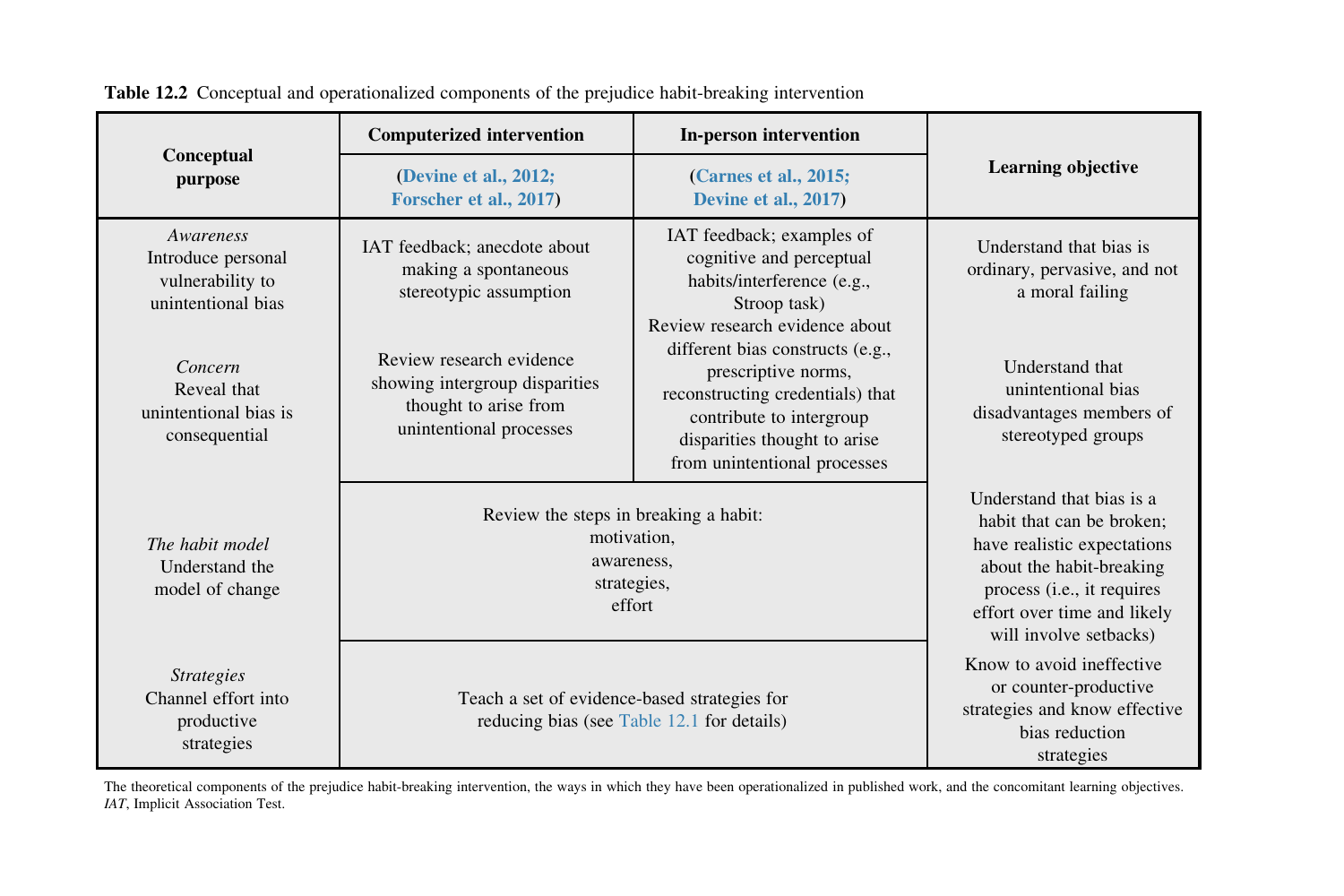| Conceptual<br>purpose                                                              | <b>Computerized intervention</b>                                                                               | In-person intervention                                                                                                                                                                  | <b>Learning objective</b>                                                                                                                                                                                |
|------------------------------------------------------------------------------------|----------------------------------------------------------------------------------------------------------------|-----------------------------------------------------------------------------------------------------------------------------------------------------------------------------------------|----------------------------------------------------------------------------------------------------------------------------------------------------------------------------------------------------------|
|                                                                                    | (Devine et al., 2012;<br>Forscher et al., 2017)                                                                | (Carnes et al., 2015;<br>Devine et al., 2017)                                                                                                                                           |                                                                                                                                                                                                          |
| Awareness<br>Introduce personal<br>vulnerability to<br>unintentional bias          | IAT feedback; anecdote about<br>making a spontaneous<br>stereotypic assumption                                 | IAT feedback; examples of<br>cognitive and perceptual<br>habits/interference (e.g.,<br>Stroop task)<br>Review research evidence about                                                   | Understand that bias is<br>ordinary, pervasive, and not<br>a moral failing                                                                                                                               |
| Concern<br>Reveal that<br>unintentional bias is<br>consequential                   | Review research evidence<br>showing intergroup disparities<br>thought to arise from<br>unintentional processes | different bias constructs (e.g.,<br>prescriptive norms,<br>reconstructing credentials) that<br>contribute to intergroup<br>disparities thought to arise<br>from unintentional processes | Understand that<br>unintentional bias<br>disadvantages members of<br>stereotyped groups                                                                                                                  |
| The habit model<br>Understand the<br>model of change                               | Review the steps in breaking a habit:<br>motivation,<br>awareness,<br>strategies,<br>effort                    |                                                                                                                                                                                         | Understand that bias is a<br>habit that can be broken:<br>have realistic expectations<br>about the habit-breaking<br>process (i.e., it requires<br>effort over time and likely<br>will involve setbacks) |
| <i><u><b>Strategies</b></u></i><br>Channel effort into<br>productive<br>strategies | Teach a set of evidence-based strategies for<br>reducing bias (see Table 12.1 for details)                     |                                                                                                                                                                                         | Know to avoid ineffective<br>or counter-productive<br>strategies and know effective<br>bias reduction<br>strategies                                                                                      |

<span id="page-13-0"></span>**Table 12.2** Conceptual and operationalized components of the prejudice habit-breaking intervention

The theoretical components of the prejudice habit-breaking intervention, the ways in which they have been operationalized in published work, and the concomitant learning objectives. IAT, Implicit Association Test.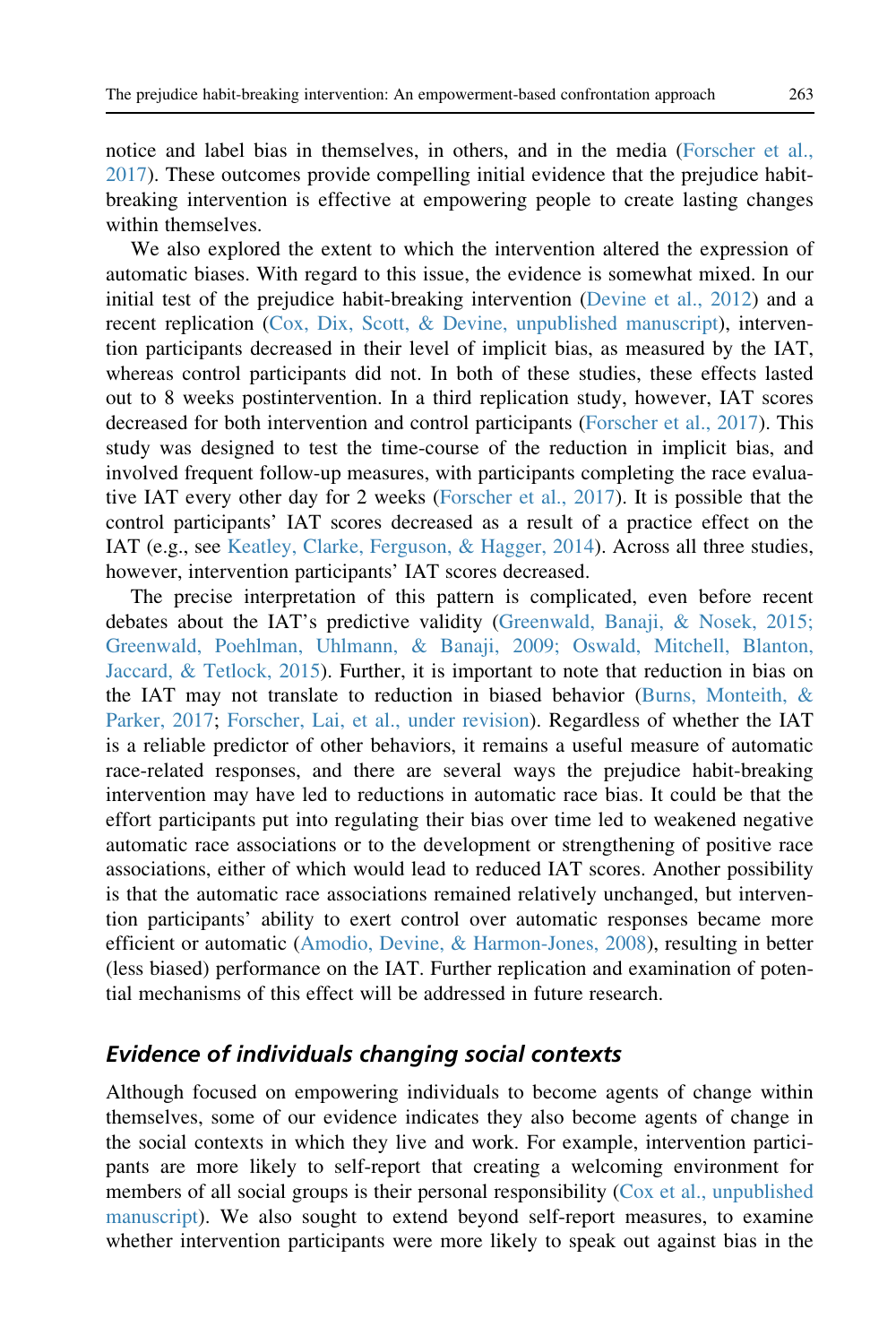notice and label bias in themselves, in others, and in the media [\(Forscher et al.,](#page-21-0) [2017\)](#page-21-0). These outcomes provide compelling initial evidence that the prejudice habitbreaking intervention is effective at empowering people to create lasting changes within themselves.

We also explored the extent to which the intervention altered the expression of automatic biases. With regard to this issue, the evidence is somewhat mixed. In our initial test of the prejudice habit-breaking intervention ([Devine et al., 2012\)](#page-20-0) and a recent replication ([Cox, Dix, Scott, & Devine, unpublished manuscript](#page-20-0)), intervention participants decreased in their level of implicit bias, as measured by the IAT, whereas control participants did not. In both of these studies, these effects lasted out to 8 weeks postintervention. In a third replication study, however, IAT scores decreased for both intervention and control participants [\(Forscher et al., 2017\)](#page-21-0). This study was designed to test the time-course of the reduction in implicit bias, and involved frequent follow-up measures, with participants completing the race evaluative IAT every other day for 2 weeks [\(Forscher et al., 2017\)](#page-21-0). It is possible that the control participants' IAT scores decreased as a result of a practice effect on the IAT (e.g., see [Keatley, Clarke, Ferguson, & Hagger, 2014\)](#page-22-0). Across all three studies, however, intervention participants' IAT scores decreased.

The precise interpretation of this pattern is complicated, even before recent debates about the IAT's predictive validity ([Greenwald, Banaji, & Nosek, 2015;](#page-21-0) [Greenwald, Poehlman, Uhlmann, & Banaji, 2009; Oswald, Mitchell, Blanton,](#page-21-0) [Jaccard, & Tetlock, 2015\)](#page-21-0). Further, it is important to note that reduction in bias on the IAT may not translate to reduction in biased behavior [\(Burns, Monteith, &](#page-20-0) [Parker, 2017](#page-20-0); [Forscher, Lai, et al., under revision](#page-21-0)). Regardless of whether the IAT is a reliable predictor of other behaviors, it remains a useful measure of automatic race-related responses, and there are several ways the prejudice habit-breaking intervention may have led to reductions in automatic race bias. It could be that the effort participants put into regulating their bias over time led to weakened negative automatic race associations or to the development or strengthening of positive race associations, either of which would lead to reduced IAT scores. Another possibility is that the automatic race associations remained relatively unchanged, but intervention participants' ability to exert control over automatic responses became more efficient or automatic ([Amodio, Devine, & Harmon-Jones, 2008\)](#page-19-0), resulting in better (less biased) performance on the IAT. Further replication and examination of potential mechanisms of this effect will be addressed in future research.

#### Evidence of individuals changing social contexts

Although focused on empowering individuals to become agents of change within themselves, some of our evidence indicates they also become agents of change in the social contexts in which they live and work. For example, intervention participants are more likely to self-report that creating a welcoming environment for members of all social groups is their personal responsibility ([Cox et al., unpublished](#page-20-0) [manuscript\)](#page-20-0). We also sought to extend beyond self-report measures, to examine whether intervention participants were more likely to speak out against bias in the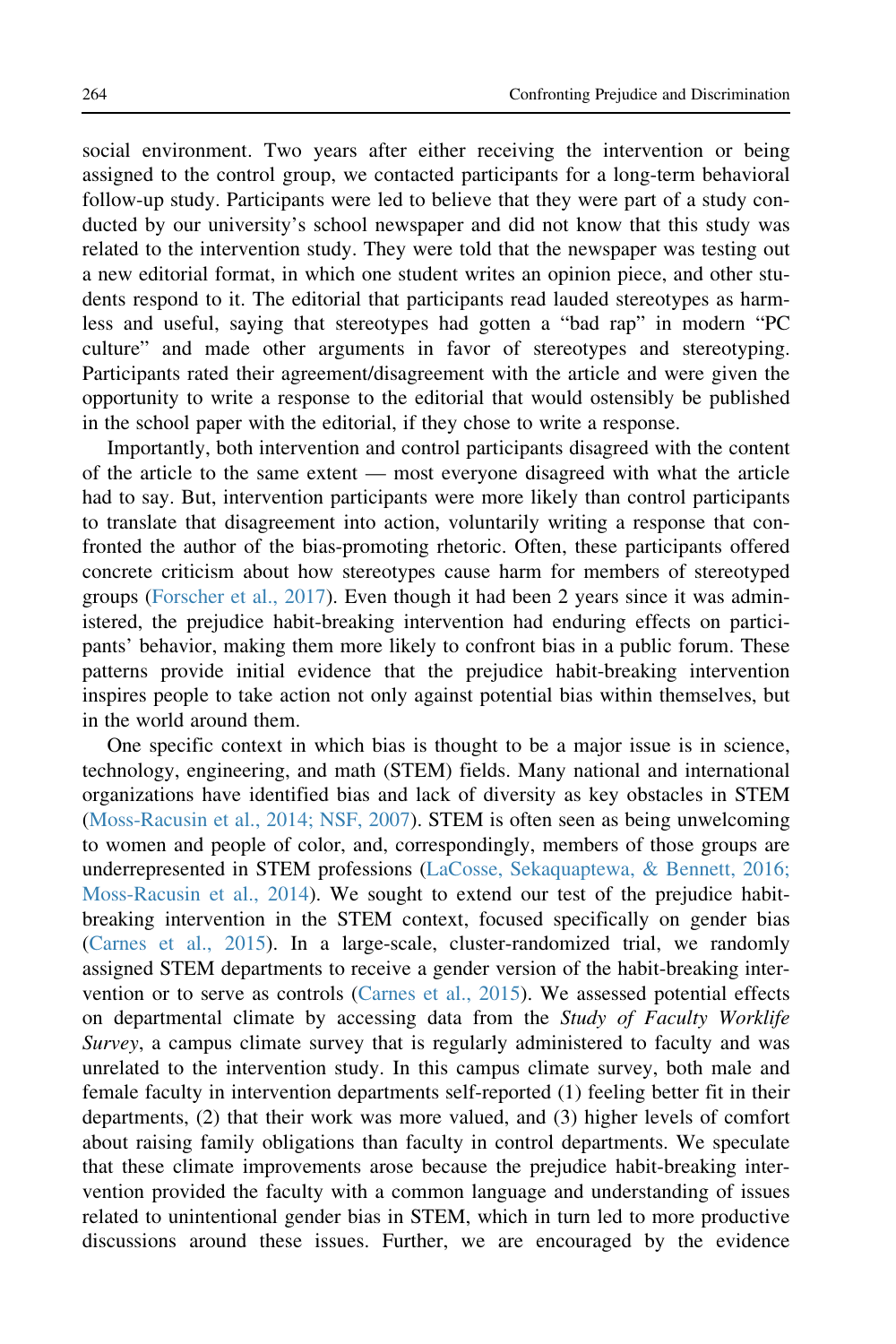social environment. Two years after either receiving the intervention or being assigned to the control group, we contacted participants for a long-term behavioral follow-up study. Participants were led to believe that they were part of a study conducted by our university's school newspaper and did not know that this study was related to the intervention study. They were told that the newspaper was testing out a new editorial format, in which one student writes an opinion piece, and other students respond to it. The editorial that participants read lauded stereotypes as harmless and useful, saying that stereotypes had gotten a "bad rap" in modern "PC culture" and made other arguments in favor of stereotypes and stereotyping. Participants rated their agreement/disagreement with the article and were given the opportunity to write a response to the editorial that would ostensibly be published in the school paper with the editorial, if they chose to write a response.

Importantly, both intervention and control participants disagreed with the content of the article to the same extent — most everyone disagreed with what the article had to say. But, intervention participants were more likely than control participants to translate that disagreement into action, voluntarily writing a response that confronted the author of the bias-promoting rhetoric. Often, these participants offered concrete criticism about how stereotypes cause harm for members of stereotyped groups [\(Forscher et al., 2017](#page-21-0)). Even though it had been 2 years since it was administered, the prejudice habit-breaking intervention had enduring effects on participants' behavior, making them more likely to confront bias in a public forum. These patterns provide initial evidence that the prejudice habit-breaking intervention inspires people to take action not only against potential bias within themselves, but in the world around them.

One specific context in which bias is thought to be a major issue is in science, technology, engineering, and math (STEM) fields. Many national and international organizations have identified bias and lack of diversity as key obstacles in STEM [\(Moss-Racusin et al., 2014; NSF, 2007\)](#page-23-0). STEM is often seen as being unwelcoming to women and people of color, and, correspondingly, members of those groups are underrepresented in STEM professions ([LaCosse, Sekaquaptewa, & Bennett, 2016;](#page-22-0) [Moss-Racusin et al., 2014](#page-22-0)). We sought to extend our test of the prejudice habitbreaking intervention in the STEM context, focused specifically on gender bias [\(Carnes et al., 2015](#page-20-0)). In a large-scale, cluster-randomized trial, we randomly assigned STEM departments to receive a gender version of the habit-breaking intervention or to serve as controls ([Carnes et al., 2015\)](#page-20-0). We assessed potential effects on departmental climate by accessing data from the Study of Faculty Worklife Survey, a campus climate survey that is regularly administered to faculty and was unrelated to the intervention study. In this campus climate survey, both male and female faculty in intervention departments self-reported (1) feeling better fit in their departments, (2) that their work was more valued, and (3) higher levels of comfort about raising family obligations than faculty in control departments. We speculate that these climate improvements arose because the prejudice habit-breaking intervention provided the faculty with a common language and understanding of issues related to unintentional gender bias in STEM, which in turn led to more productive discussions around these issues. Further, we are encouraged by the evidence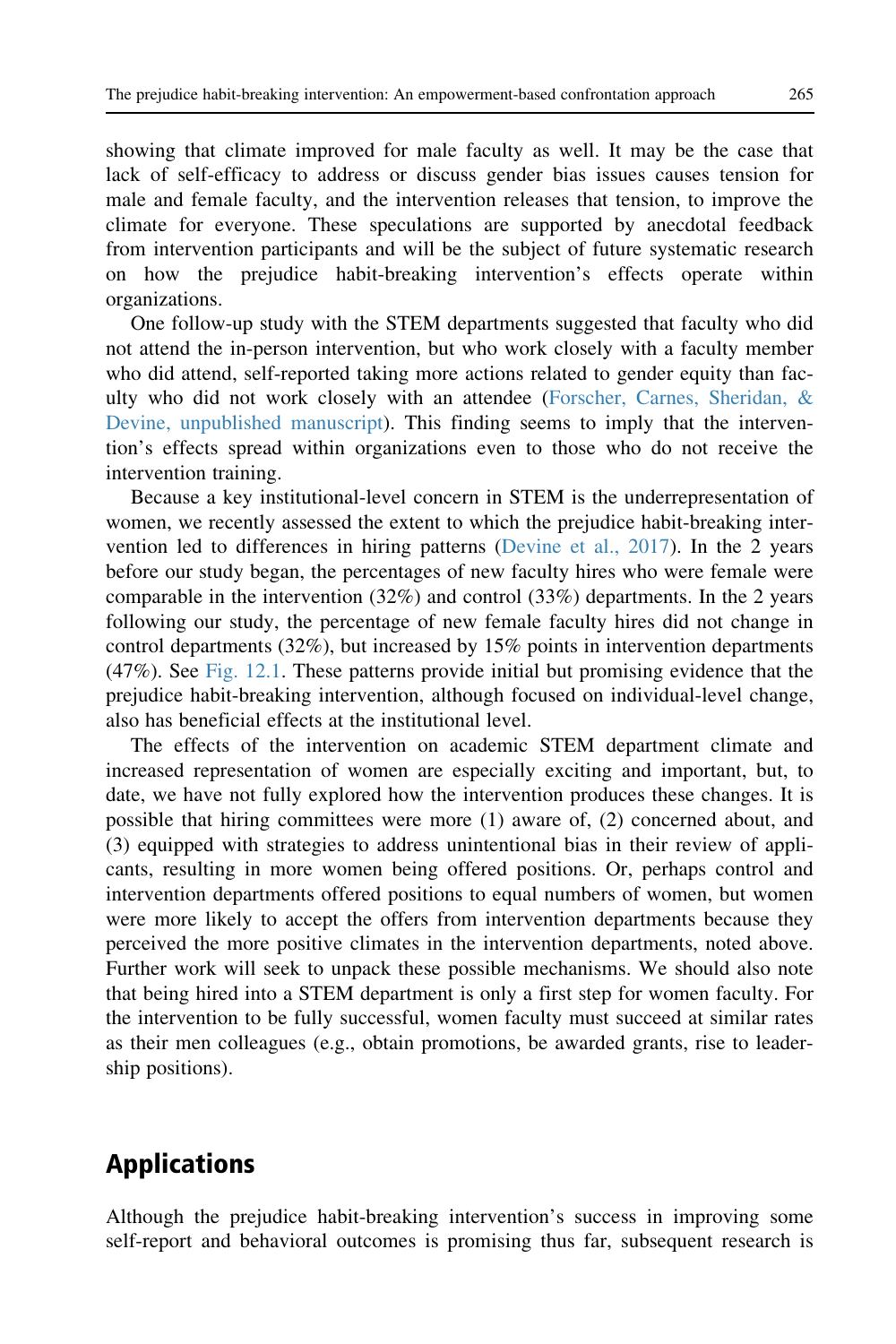showing that climate improved for male faculty as well. It may be the case that lack of self-efficacy to address or discuss gender bias issues causes tension for male and female faculty, and the intervention releases that tension, to improve the climate for everyone. These speculations are supported by anecdotal feedback from intervention participants and will be the subject of future systematic research on how the prejudice habit-breaking intervention's effects operate within organizations.

One follow-up study with the STEM departments suggested that faculty who did not attend the in-person intervention, but who work closely with a faculty member who did attend, self-reported taking more actions related to gender equity than faculty who did not work closely with an attendee ([Forscher, Carnes, Sheridan, &](#page-21-0) [Devine, unpublished manuscript\)](#page-21-0). This finding seems to imply that the intervention's effects spread within organizations even to those who do not receive the intervention training.

Because a key institutional-level concern in STEM is the underrepresentation of women, we recently assessed the extent to which the prejudice habit-breaking intervention led to differences in hiring patterns ([Devine et al., 2017\)](#page-21-0). In the 2 years before our study began, the percentages of new faculty hires who were female were comparable in the intervention (32%) and control (33%) departments. In the 2 years following our study, the percentage of new female faculty hires did not change in control departments (32%), but increased by 15% points in intervention departments (47%). See [Fig. 12.1.](#page-17-0) These patterns provide initial but promising evidence that the prejudice habit-breaking intervention, although focused on individual-level change, also has beneficial effects at the institutional level.

The effects of the intervention on academic STEM department climate and increased representation of women are especially exciting and important, but, to date, we have not fully explored how the intervention produces these changes. It is possible that hiring committees were more (1) aware of, (2) concerned about, and (3) equipped with strategies to address unintentional bias in their review of applicants, resulting in more women being offered positions. Or, perhaps control and intervention departments offered positions to equal numbers of women, but women were more likely to accept the offers from intervention departments because they perceived the more positive climates in the intervention departments, noted above. Further work will seek to unpack these possible mechanisms. We should also note that being hired into a STEM department is only a first step for women faculty. For the intervention to be fully successful, women faculty must succeed at similar rates as their men colleagues (e.g., obtain promotions, be awarded grants, rise to leadership positions).

# Applications

Although the prejudice habit-breaking intervention's success in improving some self-report and behavioral outcomes is promising thus far, subsequent research is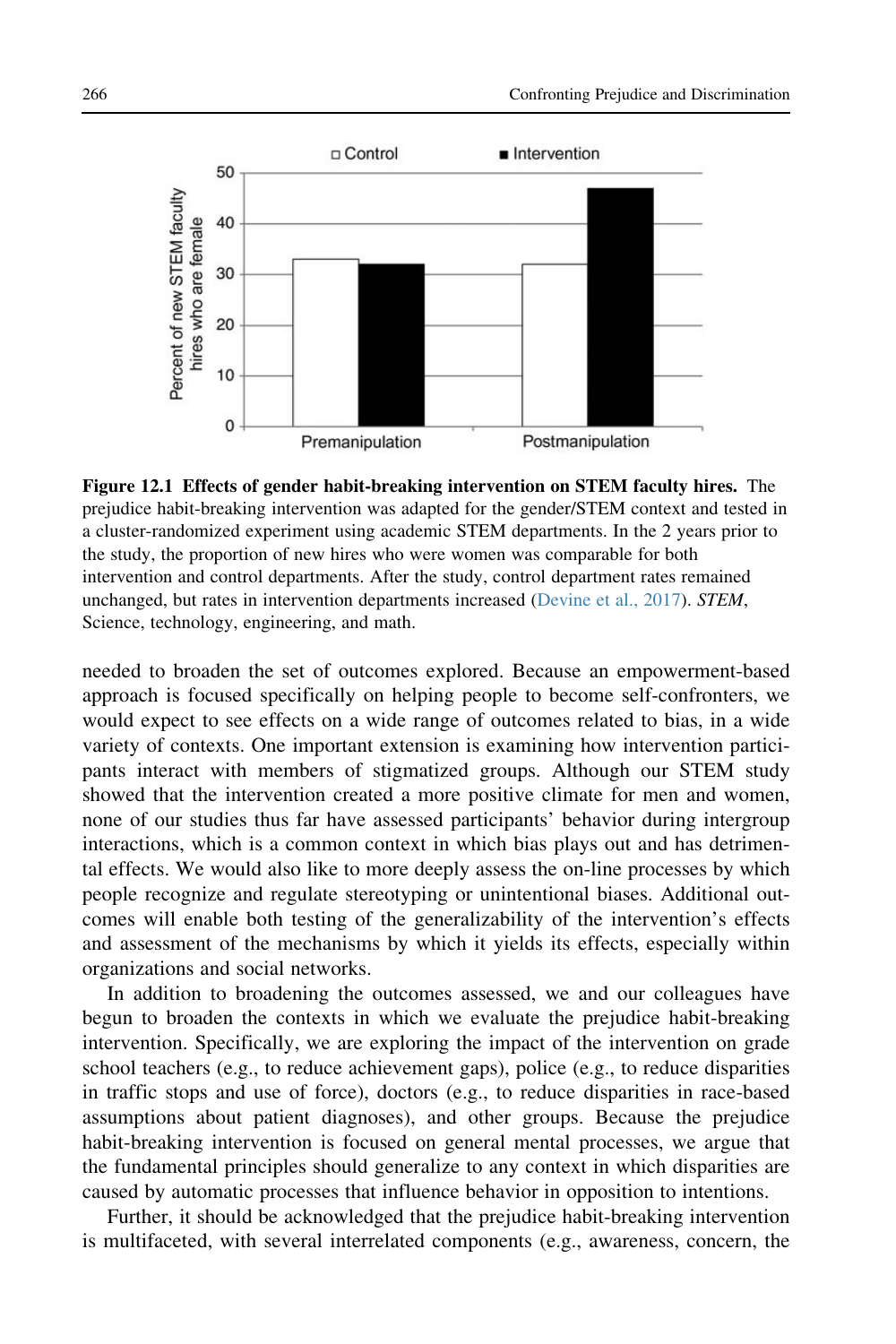<span id="page-17-0"></span>

Figure 12.1 Effects of gender habit-breaking intervention on STEM faculty hires. The prejudice habit-breaking intervention was adapted for the gender/STEM context and tested in a cluster-randomized experiment using academic STEM departments. In the 2 years prior to the study, the proportion of new hires who were women was comparable for both intervention and control departments. After the study, control department rates remained unchanged, but rates in intervention departments increased [\(Devine et al., 2017](#page-21-0)). STEM, Science, technology, engineering, and math.

needed to broaden the set of outcomes explored. Because an empowerment-based approach is focused specifically on helping people to become self-confronters, we would expect to see effects on a wide range of outcomes related to bias, in a wide variety of contexts. One important extension is examining how intervention participants interact with members of stigmatized groups. Although our STEM study showed that the intervention created a more positive climate for men and women, none of our studies thus far have assessed participants' behavior during intergroup interactions, which is a common context in which bias plays out and has detrimental effects. We would also like to more deeply assess the on-line processes by which people recognize and regulate stereotyping or unintentional biases. Additional outcomes will enable both testing of the generalizability of the intervention's effects and assessment of the mechanisms by which it yields its effects, especially within organizations and social networks.

In addition to broadening the outcomes assessed, we and our colleagues have begun to broaden the contexts in which we evaluate the prejudice habit-breaking intervention. Specifically, we are exploring the impact of the intervention on grade school teachers (e.g., to reduce achievement gaps), police (e.g., to reduce disparities in traffic stops and use of force), doctors (e.g., to reduce disparities in race-based assumptions about patient diagnoses), and other groups. Because the prejudice habit-breaking intervention is focused on general mental processes, we argue that the fundamental principles should generalize to any context in which disparities are caused by automatic processes that influence behavior in opposition to intentions.

Further, it should be acknowledged that the prejudice habit-breaking intervention is multifaceted, with several interrelated components (e.g., awareness, concern, the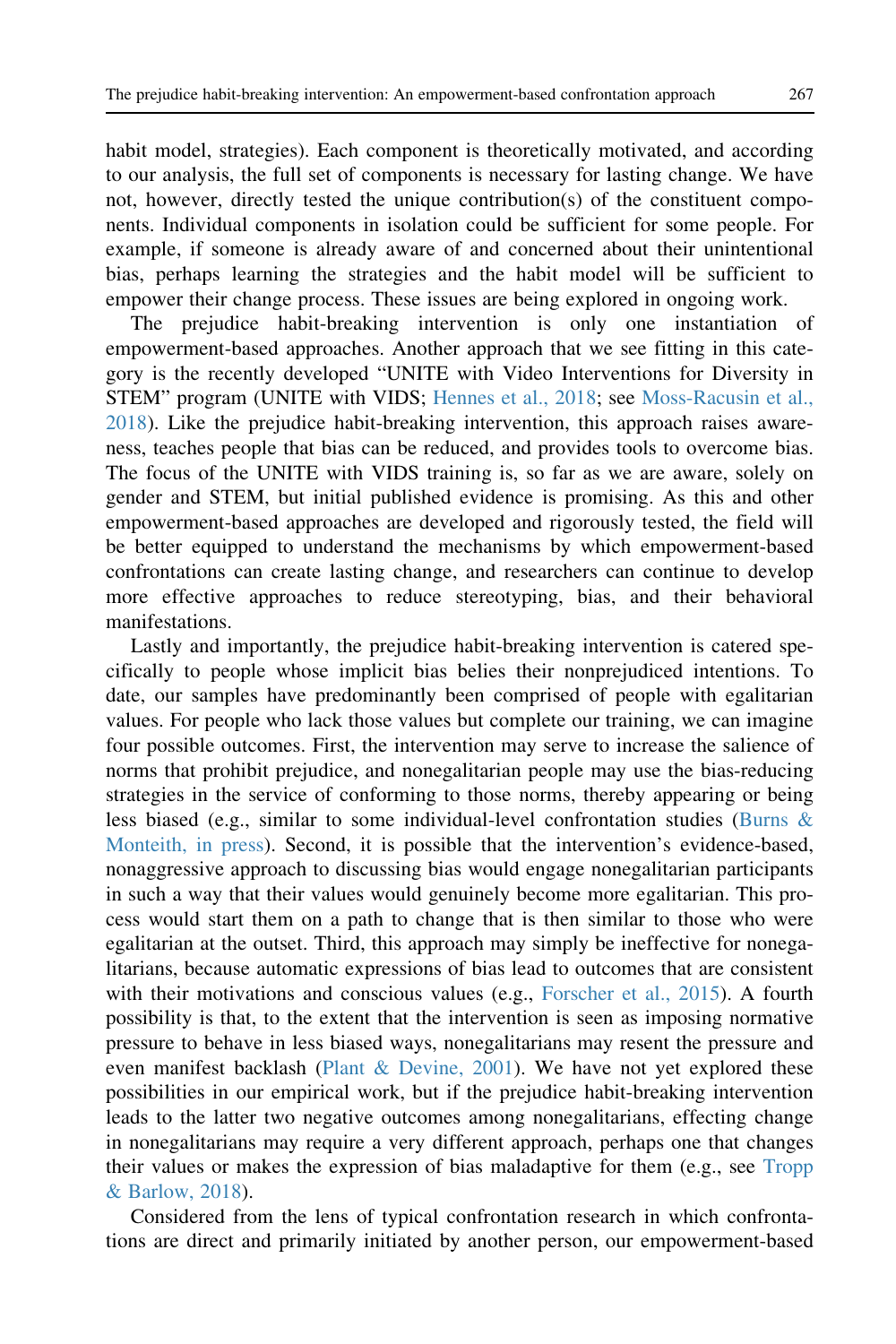habit model, strategies). Each component is theoretically motivated, and according to our analysis, the full set of components is necessary for lasting change. We have not, however, directly tested the unique contribution(s) of the constituent components. Individual components in isolation could be sufficient for some people. For example, if someone is already aware of and concerned about their unintentional bias, perhaps learning the strategies and the habit model will be sufficient to empower their change process. These issues are being explored in ongoing work.

The prejudice habit-breaking intervention is only one instantiation of empowerment-based approaches. Another approach that we see fitting in this category is the recently developed "UNITE with Video Interventions for Diversity in STEM" program (UNITE with VIDS; [Hennes et al., 2018;](#page-22-0) see [Moss-Racusin et al.,](#page-23-0) [2018\)](#page-23-0). Like the prejudice habit-breaking intervention, this approach raises awareness, teaches people that bias can be reduced, and provides tools to overcome bias. The focus of the UNITE with VIDS training is, so far as we are aware, solely on gender and STEM, but initial published evidence is promising. As this and other empowerment-based approaches are developed and rigorously tested, the field will be better equipped to understand the mechanisms by which empowerment-based confrontations can create lasting change, and researchers can continue to develop more effective approaches to reduce stereotyping, bias, and their behavioral manifestations.

Lastly and importantly, the prejudice habit-breaking intervention is catered specifically to people whose implicit bias belies their nonprejudiced intentions. To date, our samples have predominantly been comprised of people with egalitarian values. For people who lack those values but complete our training, we can imagine four possible outcomes. First, the intervention may serve to increase the salience of norms that prohibit prejudice, and nonegalitarian people may use the bias-reducing strategies in the service of conforming to those norms, thereby appearing or being less biased (e.g., similar to some individual-level confrontation studies [\(Burns &](#page-20-0) [Monteith, in press](#page-20-0)). Second, it is possible that the intervention's evidence-based, nonaggressive approach to discussing bias would engage nonegalitarian participants in such a way that their values would genuinely become more egalitarian. This process would start them on a path to change that is then similar to those who were egalitarian at the outset. Third, this approach may simply be ineffective for nonegalitarians, because automatic expressions of bias lead to outcomes that are consistent with their motivations and conscious values (e.g., [Forscher et al., 2015](#page-21-0)). A fourth possibility is that, to the extent that the intervention is seen as imposing normative pressure to behave in less biased ways, nonegalitarians may resent the pressure and even manifest backlash [\(Plant & Devine, 2001\)](#page-24-0). We have not yet explored these possibilities in our empirical work, but if the prejudice habit-breaking intervention leads to the latter two negative outcomes among nonegalitarians, effecting change in nonegalitarians may require a very different approach, perhaps one that changes their values or makes the expression of bias maladaptive for them (e.g., see [Tropp](#page-24-0) [& Barlow, 2018\)](#page-24-0).

Considered from the lens of typical confrontation research in which confrontations are direct and primarily initiated by another person, our empowerment-based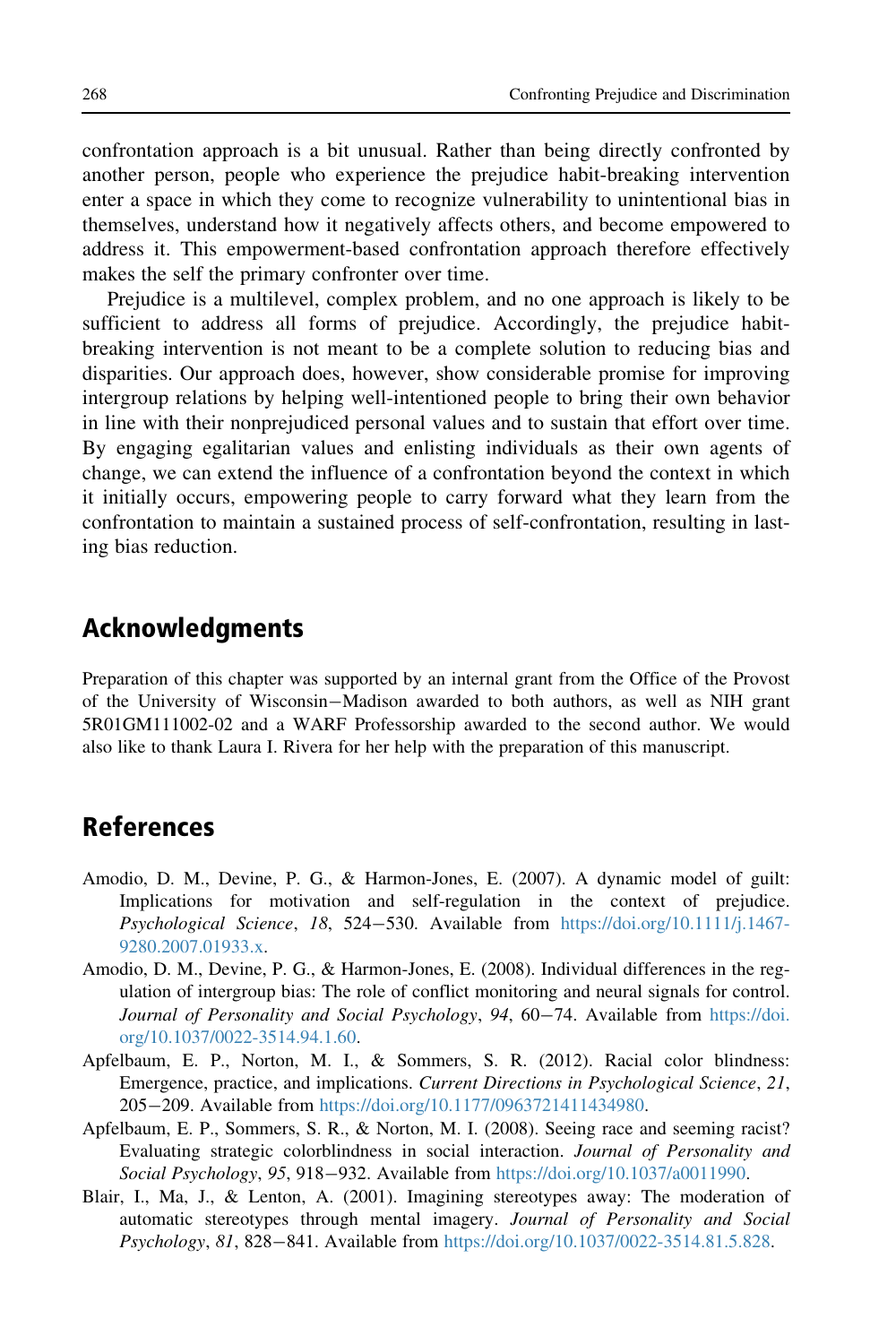<span id="page-19-0"></span>confrontation approach is a bit unusual. Rather than being directly confronted by another person, people who experience the prejudice habit-breaking intervention enter a space in which they come to recognize vulnerability to unintentional bias in themselves, understand how it negatively affects others, and become empowered to address it. This empowerment-based confrontation approach therefore effectively makes the self the primary confronter over time.

Prejudice is a multilevel, complex problem, and no one approach is likely to be sufficient to address all forms of prejudice. Accordingly, the prejudice habitbreaking intervention is not meant to be a complete solution to reducing bias and disparities. Our approach does, however, show considerable promise for improving intergroup relations by helping well-intentioned people to bring their own behavior in line with their nonprejudiced personal values and to sustain that effort over time. By engaging egalitarian values and enlisting individuals as their own agents of change, we can extend the influence of a confrontation beyond the context in which it initially occurs, empowering people to carry forward what they learn from the confrontation to maintain a sustained process of self-confrontation, resulting in lasting bias reduction.

## Acknowledgments

Preparation of this chapter was supported by an internal grant from the Office of the Provost of the University of Wisconsin-Madison awarded to both authors, as well as NIH grant 5R01GM111002-02 and a WARF Professorship awarded to the second author. We would also like to thank Laura I. Rivera for her help with the preparation of this manuscript.

# References

- Amodio, D. M., Devine, P. G., & Harmon-Jones, E. (2007). A dynamic model of guilt: Implications for motivation and self-regulation in the context of prejudice. Psychological Science, 18, 524-530. Available from [https://doi.org/10.1111/j.1467-](https://doi.org/10.1111/j.1467-9280.2007.01933.x) [9280.2007.01933.x](https://doi.org/10.1111/j.1467-9280.2007.01933.x).
- Amodio, D. M., Devine, P. G., & Harmon-Jones, E. (2008). Individual differences in the regulation of intergroup bias: The role of conflict monitoring and neural signals for control. Journal of Personality and Social Psychology, 94, 60-74. Available from [https://doi.](https://doi.org/10.1037/0022-3514.94.1.60) [org/10.1037/0022-3514.94.1.60.](https://doi.org/10.1037/0022-3514.94.1.60)
- Apfelbaum, E. P., Norton, M. I., & Sommers, S. R. (2012). Racial color blindness: Emergence, practice, and implications. Current Directions in Psychological Science, 21, 205-209. Available from [https://doi.org/10.1177/0963721411434980.](https://doi.org/10.1177/0963721411434980)
- Apfelbaum, E. P., Sommers, S. R., & Norton, M. I. (2008). Seeing race and seeming racist? Evaluating strategic colorblindness in social interaction. Journal of Personality and Social Psychology, 95, 918-932. Available from [https://doi.org/10.1037/a0011990.](https://doi.org/10.1037/a0011990)
- Blair, I., Ma, J., & Lenton, A. (2001). Imagining stereotypes away: The moderation of automatic stereotypes through mental imagery. Journal of Personality and Social Psychology, 81, 828-841. Available from [https://doi.org/10.1037/0022-3514.81.5.828.](https://doi.org/10.1037/0022-3514.81.5.828)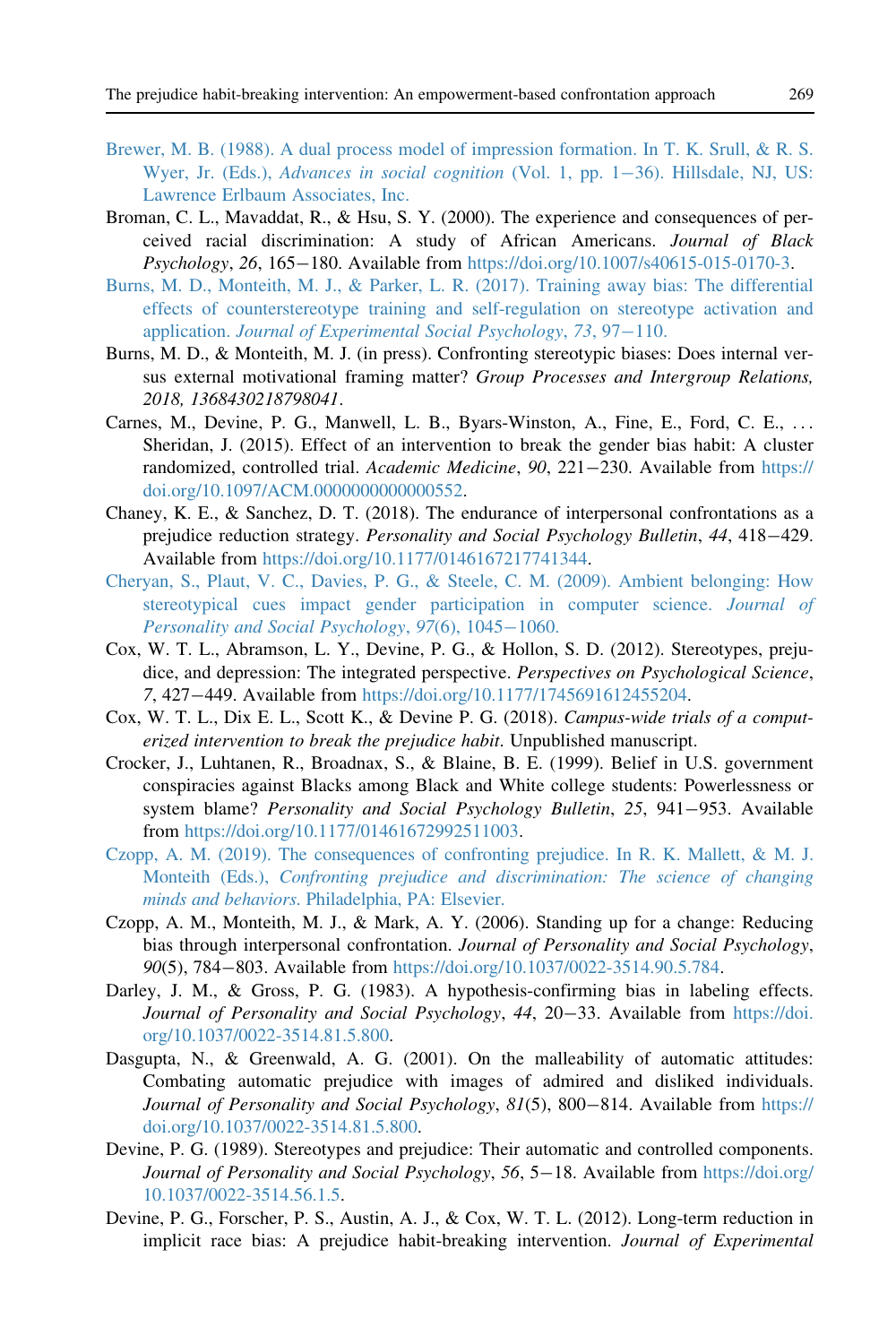- <span id="page-20-0"></span>[Brewer, M. B. \(1988\). A dual process model of impression formation. In T. K. Srull, & R. S.](http://refhub.elsevier.com/B978-0-12-814715-3.00015-1/sbref6) Wyer, Jr. (Eds.), [Advances in social cognition](http://refhub.elsevier.com/B978-0-12-814715-3.00015-1/sbref6) (Vol. 1, pp. 1-[36\). Hillsdale, NJ, US:](http://refhub.elsevier.com/B978-0-12-814715-3.00015-1/sbref6) [Lawrence Erlbaum Associates, Inc.](http://refhub.elsevier.com/B978-0-12-814715-3.00015-1/sbref6)
- Broman, C. L., Mavaddat, R., & Hsu, S. Y. (2000). The experience and consequences of perceived racial discrimination: A study of African Americans. Journal of Black Psychology, 26, 165-180. Available from <https://doi.org/10.1007/s40615-015-0170-3>.
- [Burns, M. D., Monteith, M. J., & Parker, L. R. \(2017\). Training away bias: The differential](http://refhub.elsevier.com/B978-0-12-814715-3.00015-1/sbref85) [effects of counterstereotype training and self-regulation on stereotype activation and](http://refhub.elsevier.com/B978-0-12-814715-3.00015-1/sbref85) application. [Journal of Experimental Social Psychology](http://refhub.elsevier.com/B978-0-12-814715-3.00015-1/sbref85),  $73, 97-110$ .
- Burns, M. D., & Monteith, M. J. (in press). Confronting stereotypic biases: Does internal versus external motivational framing matter? Group Processes and Intergroup Relations, 2018, 1368430218798041.
- Carnes, M., Devine, P. G., Manwell, L. B., Byars-Winston, A., Fine, E., Ford, C. E., ... Sheridan, J. (2015). Effect of an intervention to break the gender bias habit: A cluster randomized, controlled trial. Academic Medicine, 90, 221-230. Available from [https://](https://doi.org/10.1097/ACM.0000000000000552) [doi.org/10.1097/ACM.0000000000000552](https://doi.org/10.1097/ACM.0000000000000552).
- Chaney, K. E., & Sanchez, D. T. (2018). The endurance of interpersonal confrontations as a prejudice reduction strategy. *Personality and Social Psychology Bulletin, 44, 418–429.* Available from <https://doi.org/10.1177/0146167217741344>.
- [Cheryan, S., Plaut, V. C., Davies, P. G., & Steele, C. M. \(2009\). Ambient belonging: How](http://refhub.elsevier.com/B978-0-12-814715-3.00015-1/sbref88) [stereotypical cues impact gender participation in computer science.](http://refhub.elsevier.com/B978-0-12-814715-3.00015-1/sbref88) Journal of [Personality and Social Psychology](http://refhub.elsevier.com/B978-0-12-814715-3.00015-1/sbref88),  $97(6)$ ,  $1045-1060$ .
- Cox, W. T. L., Abramson, L. Y., Devine, P. G., & Hollon, S. D. (2012). Stereotypes, prejudice, and depression: The integrated perspective. Perspectives on Psychological Science, 7, 427-449. Available from <https://doi.org/10.1177/1745691612455204>.
- Cox, W. T. L., Dix E. L., Scott K., & Devine P. G. (2018). Campus-wide trials of a computerized intervention to break the prejudice habit. Unpublished manuscript.
- Crocker, J., Luhtanen, R., Broadnax, S., & Blaine, B. E. (1999). Belief in U.S. government conspiracies against Blacks among Black and White college students: Powerlessness or system blame? Personality and Social Psychology Bulletin, 25, 941-953. Available from <https://doi.org/10.1177/01461672992511003>.
- [Czopp, A. M. \(2019\). The consequences of confronting prejudice. In R. K. Mallett, & M. J.](http://refhub.elsevier.com/B978-0-12-814715-3.00015-1/sbref86) Monteith (Eds.), [Confronting prejudice and discrimination: The science of changing](http://refhub.elsevier.com/B978-0-12-814715-3.00015-1/sbref86) minds and behaviors[. Philadelphia, PA: Elsevier.](http://refhub.elsevier.com/B978-0-12-814715-3.00015-1/sbref86)
- Czopp, A. M., Monteith, M. J., & Mark, A. Y. (2006). Standing up for a change: Reducing bias through interpersonal confrontation. Journal of Personality and Social Psychology, 90(5), 784-803. Available from <https://doi.org/10.1037/0022-3514.90.5.784>.
- Darley, J. M., & Gross, P. G. (1983). A hypothesis-confirming bias in labeling effects. Journal of Personality and Social Psychology, 44, 20–33. Available from [https://doi.](https://doi.org/10.1037/0022-3514.81.5.800) [org/10.1037/0022-3514.81.5.800.](https://doi.org/10.1037/0022-3514.81.5.800)
- Dasgupta, N., & Greenwald, A. G. (2001). On the malleability of automatic attitudes: Combating automatic prejudice with images of admired and disliked individuals. Journal of Personality and Social Psychology, 81(5), 800-814. Available from [https://](https://doi.org/10.1037/0022-3514.81.5.800) [doi.org/10.1037/0022-3514.81.5.800](https://doi.org/10.1037/0022-3514.81.5.800).
- Devine, P. G. (1989). Stereotypes and prejudice: Their automatic and controlled components. Journal of Personality and Social Psychology, 56,  $5-18$ . Available from [https://doi.org/](https://doi.org/10.1037/0022-3514.56.1.5) [10.1037/0022-3514.56.1.5](https://doi.org/10.1037/0022-3514.56.1.5).
- Devine, P. G., Forscher, P. S., Austin, A. J., & Cox, W. T. L. (2012). Long-term reduction in implicit race bias: A prejudice habit-breaking intervention. Journal of Experimental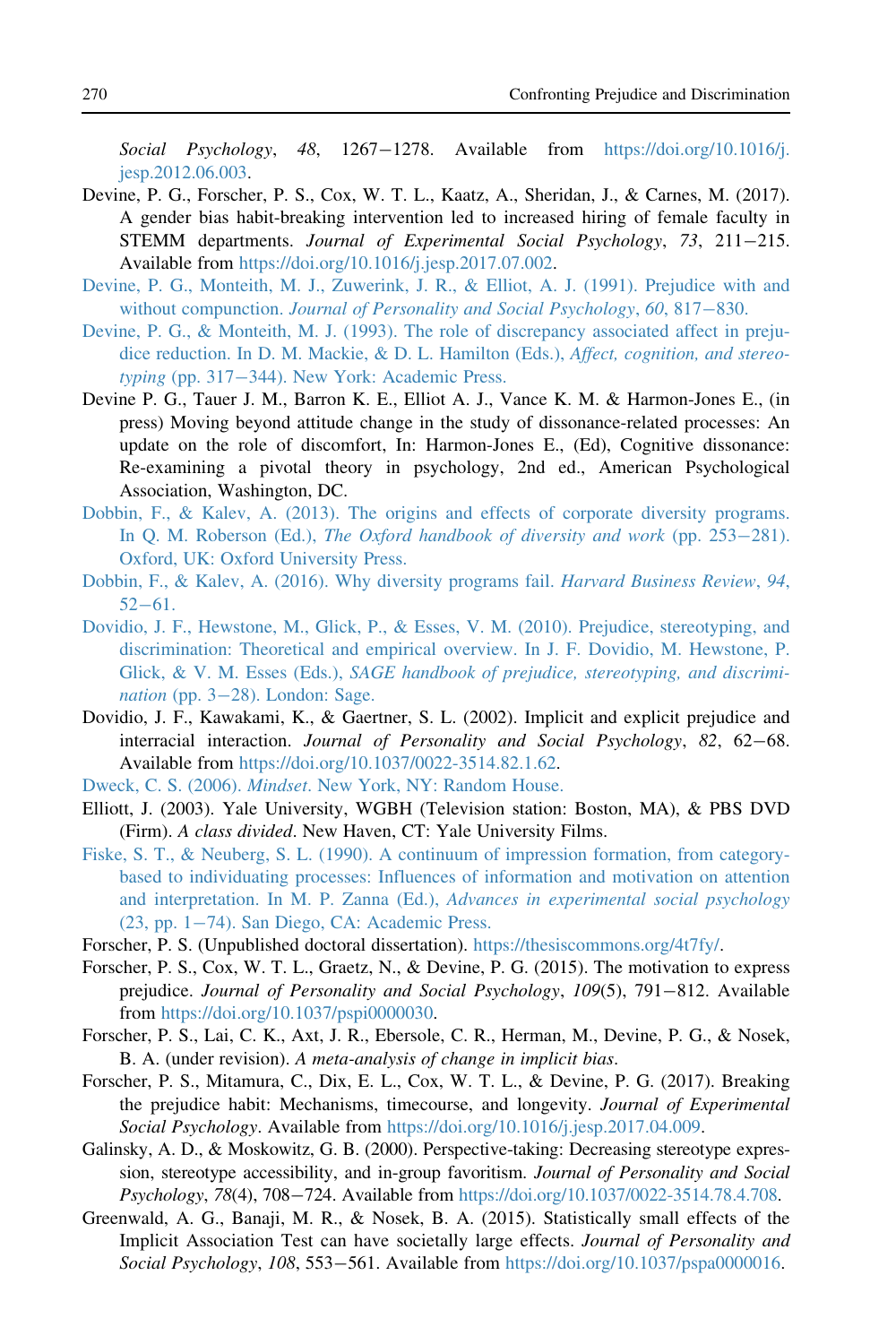<span id="page-21-0"></span>Social Psychology, 48, 1267-1278. Available from [https://doi.org/10.1016/j.](https://doi.org/10.1016/j.jesp.2012.06.003) [jesp.2012.06.003](https://doi.org/10.1016/j.jesp.2012.06.003).

- Devine, P. G., Forscher, P. S., Cox, W. T. L., Kaatz, A., Sheridan, J., & Carnes, M. (2017). A gender bias habit-breaking intervention led to increased hiring of female faculty in STEMM departments. Journal of Experimental Social Psychology, 73, 211-215. Available from [https://doi.org/10.1016/j.jesp.2017.07.002.](https://doi.org/10.1016/j.jesp.2017.07.002)
- [Devine, P. G., Monteith, M. J., Zuwerink, J. R., & Elliot, A. J. \(1991\). Prejudice with and](http://refhub.elsevier.com/B978-0-12-814715-3.00015-1/sbref87) without compunction. [Journal of Personality and Social Psychology](http://refhub.elsevier.com/B978-0-12-814715-3.00015-1/sbref87),  $60$ ,  $817-830$ .
- [Devine, P. G., & Monteith, M. J. \(1993\). The role of discrepancy associated affect in preju](http://refhub.elsevier.com/B978-0-12-814715-3.00015-1/sbref18)[dice reduction. In D. M. Mackie, & D. L. Hamilton \(Eds.\),](http://refhub.elsevier.com/B978-0-12-814715-3.00015-1/sbref18) *Affect, cognition, and stereo*typing (pp.  $317-344$ ). New York: Academic Press.
- Devine P. G., Tauer J. M., Barron K. E., Elliot A. J., Vance K. M. & Harmon-Jones E., (in press) Moving beyond attitude change in the study of dissonance-related processes: An update on the role of discomfort, In: Harmon-Jones E., (Ed), Cognitive dissonance: Re-examining a pivotal theory in psychology, 2nd ed., American Psychological Association, Washington, DC.
- [Dobbin, F., & Kalev, A. \(2013\). The origins and effects of corporate diversity programs.](http://refhub.elsevier.com/B978-0-12-814715-3.00015-1/sbref20) In Q. M. Roberson (Ed.), [The Oxford handbook of diversity and work](http://refhub.elsevier.com/B978-0-12-814715-3.00015-1/sbref20) (pp.  $253-281$ ). [Oxford, UK: Oxford University Press.](http://refhub.elsevier.com/B978-0-12-814715-3.00015-1/sbref20)
- [Dobbin, F., & Kalev, A. \(2016\). Why diversity programs fail.](http://refhub.elsevier.com/B978-0-12-814715-3.00015-1/sbref21) Harvard Business Review, 94,  $52 - 61.$  $52 - 61.$  $52 - 61.$
- [Dovidio, J. F., Hewstone, M., Glick, P., & Esses, V. M. \(2010\). Prejudice, stereotyping, and](http://refhub.elsevier.com/B978-0-12-814715-3.00015-1/sbref22) [discrimination: Theoretical and empirical overview. In J. F. Dovidio, M. Hewstone, P.](http://refhub.elsevier.com/B978-0-12-814715-3.00015-1/sbref22) Glick, & V. M. Esses (Eds.), [SAGE handbook of prejudice, stereotyping, and discrimi](http://refhub.elsevier.com/B978-0-12-814715-3.00015-1/sbref22)[nation](http://refhub.elsevier.com/B978-0-12-814715-3.00015-1/sbref22) (pp.  $3-28$ ). London: Sage.
- Dovidio, J. F., Kawakami, K., & Gaertner, S. L. (2002). Implicit and explicit prejudice and interracial interaction. Journal of Personality and Social Psychology, 82, 62-68. Available from <https://doi.org/10.1037/0022-3514.82.1.62>.
- Dweck, C. S. (2006). Mindset[. New York, NY: Random House.](http://refhub.elsevier.com/B978-0-12-814715-3.00015-1/sbref24)
- Elliott, J. (2003). Yale University, WGBH (Television station: Boston, MA), & PBS DVD (Firm). A class divided. New Haven, CT: Yale University Films.
- [Fiske, S. T., & Neuberg, S. L. \(1990\). A continuum of impression formation, from category](http://refhub.elsevier.com/B978-0-12-814715-3.00015-1/sbref25)[based to individuating processes: Influences of information and motivation on attention](http://refhub.elsevier.com/B978-0-12-814715-3.00015-1/sbref25) and interpretation. In M. P. Zanna (Ed.), [Advances in experimental social psychology](http://refhub.elsevier.com/B978-0-12-814715-3.00015-1/sbref25)  $(23, pp. 1-74)$  $(23, pp. 1-74)$ . San Diego, CA: Academic Press.
- Forscher, P. S. (Unpublished doctoral dissertation). [https://thesiscommons.org/4t7fy/.](https://thesiscommons.org/4t7fy/)
- Forscher, P. S., Cox, W. T. L., Graetz, N., & Devine, P. G. (2015). The motivation to express prejudice. Journal of Personality and Social Psychology, 109(5), 791-812. Available from [https://doi.org/10.1037/pspi0000030.](https://doi.org/10.1037/pspi0000030)
- Forscher, P. S., Lai, C. K., Axt, J. R., Ebersole, C. R., Herman, M., Devine, P. G., & Nosek, B. A. (under revision). A meta-analysis of change in implicit bias.
- Forscher, P. S., Mitamura, C., Dix, E. L., Cox, W. T. L., & Devine, P. G. (2017). Breaking the prejudice habit: Mechanisms, timecourse, and longevity. Journal of Experimental Social Psychology. Available from [https://doi.org/10.1016/j.jesp.2017.04.009.](https://doi.org/10.1016/j.jesp.2017.04.009)
- Galinsky, A. D., & Moskowitz, G. B. (2000). Perspective-taking: Decreasing stereotype expression, stereotype accessibility, and in-group favoritism. Journal of Personality and Social Psychology, 78(4), 708-724. Available from [https://doi.org/10.1037/0022-3514.78.4.708.](https://doi.org/10.1037/0022-3514.78.4.708)
- Greenwald, A. G., Banaji, M. R., & Nosek, B. A. (2015). Statistically small effects of the Implicit Association Test can have societally large effects. Journal of Personality and Social Psychology,  $108$ ,  $553-561$ . Available from <https://doi.org/10.1037/pspa0000016>.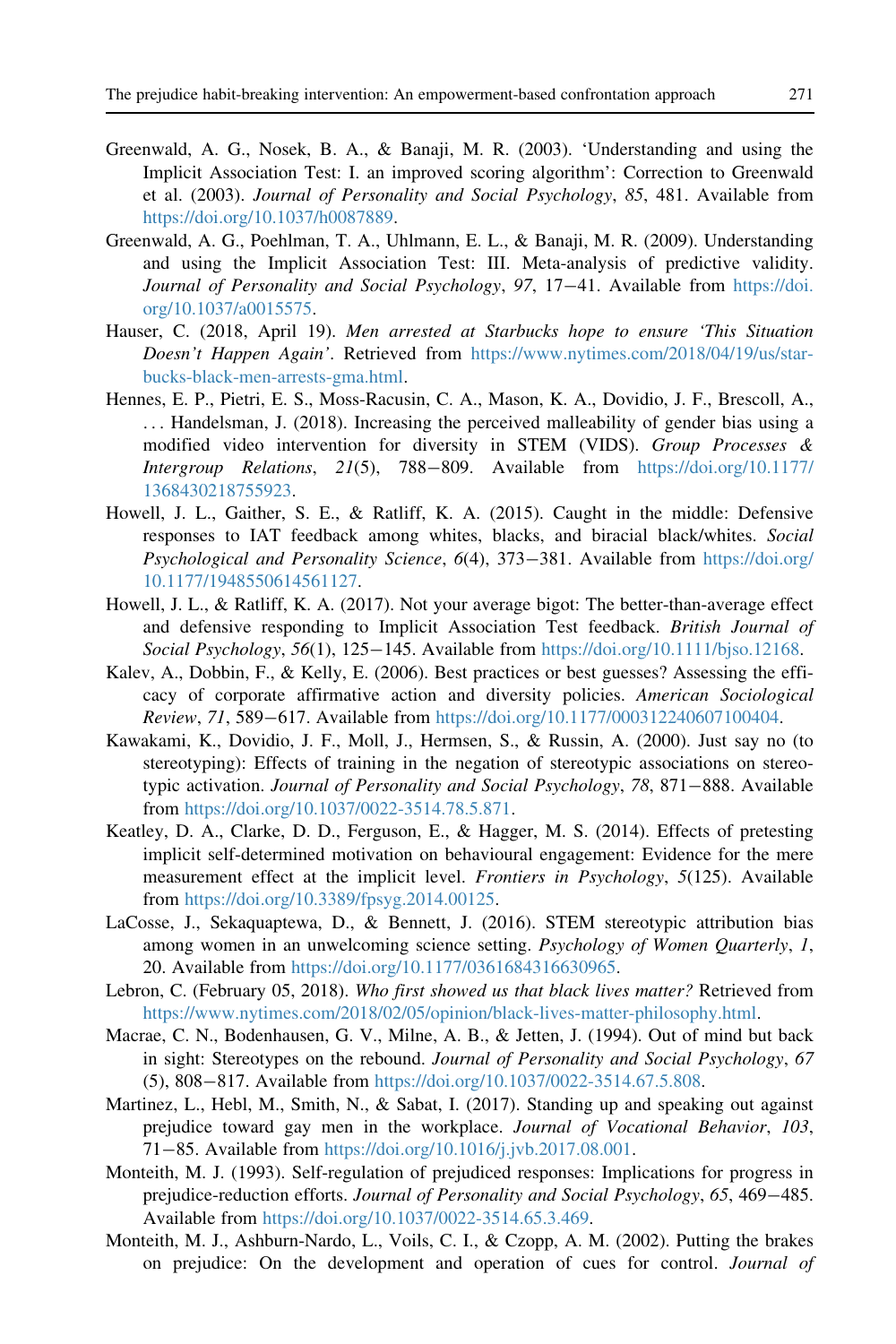- <span id="page-22-0"></span>Greenwald, A. G., Nosek, B. A., & Banaji, M. R. (2003). 'Understanding and using the Implicit Association Test: I. an improved scoring algorithm': Correction to Greenwald et al. (2003). Journal of Personality and Social Psychology, 85, 481. Available from [https://doi.org/10.1037/h0087889.](https://doi.org/10.1037/h0087889)
- Greenwald, A. G., Poehlman, T. A., Uhlmann, E. L., & Banaji, M. R. (2009). Understanding and using the Implicit Association Test: III. Meta-analysis of predictive validity. Journal of Personality and Social Psychology, 97, 17-41. Available from [https://doi.](https://doi.org/10.1037/a0015575) [org/10.1037/a0015575](https://doi.org/10.1037/a0015575).
- Hauser, C. (2018, April 19). Men arrested at Starbucks hope to ensure 'This Situation Doesn't Happen Again'. Retrieved from [https://www.nytimes.com/2018/04/19/us/star](https://www.nytimes.com/2018/04/19/us/starbucks-black-men-arrests-gma.html)[bucks-black-men-arrests-gma.html.](https://www.nytimes.com/2018/04/19/us/starbucks-black-men-arrests-gma.html)
- Hennes, E. P., Pietri, E. S., Moss-Racusin, C. A., Mason, K. A., Dovidio, J. F., Brescoll, A., ... Handelsman, J. (2018). Increasing the perceived malleability of gender bias using a modified video intervention for diversity in STEM (VIDS). Group Processes & Intergroup Relations,  $2I(5)$ , 788-809. Available from [https://doi.org/10.1177/](https://doi.org/10.1177/1368430218755923) [1368430218755923.](https://doi.org/10.1177/1368430218755923)
- Howell, J. L., Gaither, S. E., & Ratliff, K. A. (2015). Caught in the middle: Defensive responses to IAT feedback among whites, blacks, and biracial black/whites. Social Psychological and Personality Science, 6(4), 373-381. Available from [https://doi.org/](https://doi.org/10.1177/1948550614561127) [10.1177/1948550614561127](https://doi.org/10.1177/1948550614561127).
- Howell, J. L., & Ratliff, K. A. (2017). Not your average bigot: The better-than-average effect and defensive responding to Implicit Association Test feedback. British Journal of Social Psychology,  $56(1)$ ,  $125-145$ . Available from [https://doi.org/10.1111/bjso.12168.](https://doi.org/10.1111/bjso.12168)
- Kalev, A., Dobbin, F., & Kelly, E. (2006). Best practices or best guesses? Assessing the efficacy of corporate affirmative action and diversity policies. American Sociological Review, 71, 589-617. Available from [https://doi.org/10.1177/000312240607100404.](https://doi.org/10.1177/000312240607100404)
- Kawakami, K., Dovidio, J. F., Moll, J., Hermsen, S., & Russin, A. (2000). Just say no (to stereotyping): Effects of training in the negation of stereotypic associations on stereotypic activation. Journal of Personality and Social Psychology, 78, 871-888. Available from <https://doi.org/10.1037/0022-3514.78.5.871>.
- Keatley, D. A., Clarke, D. D., Ferguson, E., & Hagger, M. S. (2014). Effects of pretesting implicit self-determined motivation on behavioural engagement: Evidence for the mere measurement effect at the implicit level. Frontiers in Psychology, 5(125). Available from [https://doi.org/10.3389/fpsyg.2014.00125.](https://doi.org/10.3389/fpsyg.2014.00125)
- LaCosse, J., Sekaquaptewa, D., & Bennett, J. (2016). STEM stereotypic attribution bias among women in an unwelcoming science setting. Psychology of Women Quarterly, 1, 20. Available from <https://doi.org/10.1177/0361684316630965>.
- Lebron, C. (February 05, 2018). Who first showed us that black lives matter? Retrieved from [https://www.nytimes.com/2018/02/05/opinion/black-lives-matter-philosophy.html.](https://www.nytimes.com/2018/02/05/opinion/black-lives-matter-philosophy.html)
- Macrae, C. N., Bodenhausen, G. V., Milne, A. B., & Jetten, J. (1994). Out of mind but back in sight: Stereotypes on the rebound. Journal of Personality and Social Psychology, 67 (5), 808-817. Available from <https://doi.org/10.1037/0022-3514.67.5.808>.
- Martinez, L., Hebl, M., Smith, N., & Sabat, I. (2017). Standing up and speaking out against prejudice toward gay men in the workplace. Journal of Vocational Behavior, 103, 71-85. Available from [https://doi.org/10.1016/j.jvb.2017.08.001.](https://doi.org/10.1016/j.jvb.2017.08.001)
- Monteith, M. J. (1993). Self-regulation of prejudiced responses: Implications for progress in prejudice-reduction efforts. Journal of Personality and Social Psychology, 65, 469-485. Available from [https://doi.org/10.1037/0022-3514.65.3.469.](https://doi.org/10.1037/0022-3514.65.3.469)
- Monteith, M. J., Ashburn-Nardo, L., Voils, C. I., & Czopp, A. M. (2002). Putting the brakes on prejudice: On the development and operation of cues for control. Journal of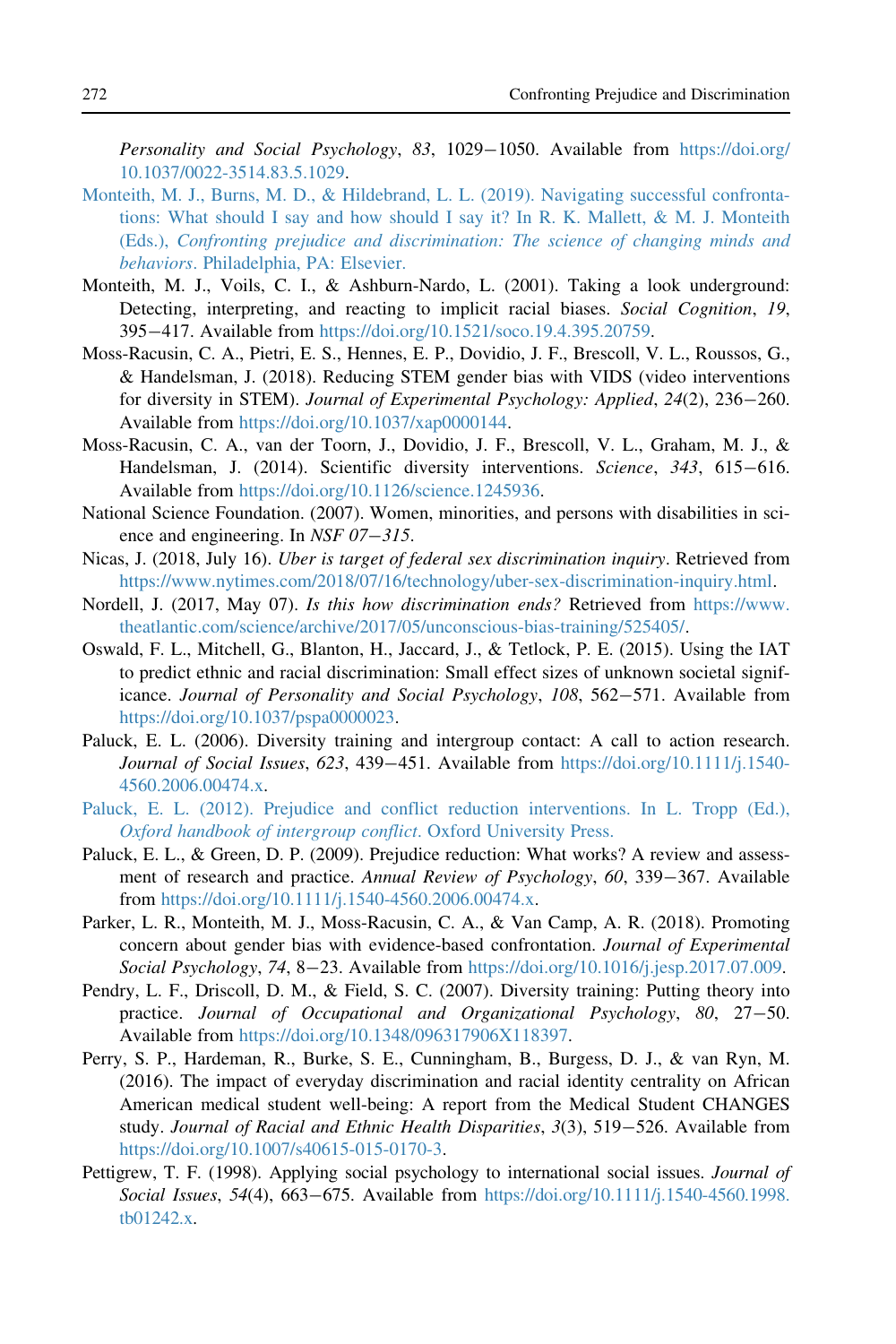<span id="page-23-0"></span>Personality and Social Psychology, 83, 1029-1050. Available from [https://doi.org/](https://doi.org/10.1037/0022-3514.83.5.1029) [10.1037/0022-3514.83.5.1029](https://doi.org/10.1037/0022-3514.83.5.1029).

- [Monteith, M. J., Burns, M. D., & Hildebrand, L. L. \(2019\). Navigating successful confronta](http://refhub.elsevier.com/B978-0-12-814715-3.00015-1/sbref89)[tions: What should I say and how should I say it? In R. K. Mallett, & M. J. Monteith](http://refhub.elsevier.com/B978-0-12-814715-3.00015-1/sbref89) (Eds.), [Confronting prejudice and discrimination: The science of changing minds and](http://refhub.elsevier.com/B978-0-12-814715-3.00015-1/sbref89) behaviors[. Philadelphia, PA: Elsevier.](http://refhub.elsevier.com/B978-0-12-814715-3.00015-1/sbref89)
- Monteith, M. J., Voils, C. I., & Ashburn-Nardo, L. (2001). Taking a look underground: Detecting, interpreting, and reacting to implicit racial biases. Social Cognition, 19, 395-417. Available from [https://doi.org/10.1521/soco.19.4.395.20759.](https://doi.org/10.1521/soco.19.4.395.20759)
- Moss-Racusin, C. A., Pietri, E. S., Hennes, E. P., Dovidio, J. F., Brescoll, V. L., Roussos, G., & Handelsman, J. (2018). Reducing STEM gender bias with VIDS (video interventions for diversity in STEM). Journal of Experimental Psychology: Applied, 24(2), 236–260. Available from [https://doi.org/10.1037/xap0000144.](https://doi.org/10.1037/xap0000144)
- Moss-Racusin, C. A., van der Toorn, J., Dovidio, J. F., Brescoll, V. L., Graham, M. J., & Handelsman, J. (2014). Scientific diversity interventions. Science, 343, 615-616. Available from <https://doi.org/10.1126/science.1245936>.
- National Science Foundation. (2007). Women, minorities, and persons with disabilities in science and engineering. In NSF  $07-315$ .
- Nicas, J. (2018, July 16). Uber is target of federal sex discrimination inquiry. Retrieved from [https://www.nytimes.com/2018/07/16/technology/uber-sex-discrimination-inquiry.html.](https://www.nytimes.com/2018/07/16/technology/uber-sex-discrimination-inquiry.html)
- Nordell, J. (2017, May 07). Is this how discrimination ends? Retrieved from [https://www.](https://www.theatlantic.com/science/archive/2017/05/unconscious-bias-training/525405/) [theatlantic.com/science/archive/2017/05/unconscious-bias-training/525405/](https://www.theatlantic.com/science/archive/2017/05/unconscious-bias-training/525405/).
- Oswald, F. L., Mitchell, G., Blanton, H., Jaccard, J., & Tetlock, P. E. (2015). Using the IAT to predict ethnic and racial discrimination: Small effect sizes of unknown societal significance. Journal of Personality and Social Psychology, 108, 562-571. Available from <https://doi.org/10.1037/pspa0000023>.
- Paluck, E. L. (2006). Diversity training and intergroup contact: A call to action research. Journal of Social Issues, 623, 439-451. Available from [https://doi.org/10.1111/j.1540-](https://doi.org/10.1111/j.1540-4560.2006.00474.x) [4560.2006.00474.x](https://doi.org/10.1111/j.1540-4560.2006.00474.x).
- [Paluck, E. L. \(2012\). Prejudice and conflict reduction interventions. In L. Tropp \(Ed.\),](http://refhub.elsevier.com/B978-0-12-814715-3.00015-1/sbref48) [Oxford handbook of intergroup conflict](http://refhub.elsevier.com/B978-0-12-814715-3.00015-1/sbref48). Oxford University Press.
- Paluck, E. L., & Green, D. P. (2009). Prejudice reduction: What works? A review and assessment of research and practice. Annual Review of Psychology, 60, 339–367. Available from [https://doi.org/10.1111/j.1540-4560.2006.00474.x.](https://doi.org/10.1111/j.1540-4560.2006.00474.x)
- Parker, L. R., Monteith, M. J., Moss-Racusin, C. A., & Van Camp, A. R. (2018). Promoting concern about gender bias with evidence-based confrontation. Journal of Experimental Social Psychology, 74, 8-23. Available from <https://doi.org/10.1016/j.jesp.2017.07.009>.
- Pendry, L. F., Driscoll, D. M., & Field, S. C. (2007). Diversity training: Putting theory into practice. Journal of Occupational and Organizational Psychology, 80, 27-50. Available from [https://doi.org/10.1348/096317906X118397.](https://doi.org/10.1348/096317906X118397)
- Perry, S. P., Hardeman, R., Burke, S. E., Cunningham, B., Burgess, D. J., & van Ryn, M. (2016). The impact of everyday discrimination and racial identity centrality on African American medical student well-being: A report from the Medical Student CHANGES study. Journal of Racial and Ethnic Health Disparities, 3(3), 519-526. Available from <https://doi.org/10.1007/s40615-015-0170-3>.
- Pettigrew, T. F. (1998). Applying social psychology to international social issues. Journal of Social Issues, 54(4), 663-675. Available from [https://doi.org/10.1111/j.1540-4560.1998.](https://doi.org/10.1111/j.1540-4560.1998.tb01242.x) [tb01242.x.](https://doi.org/10.1111/j.1540-4560.1998.tb01242.x)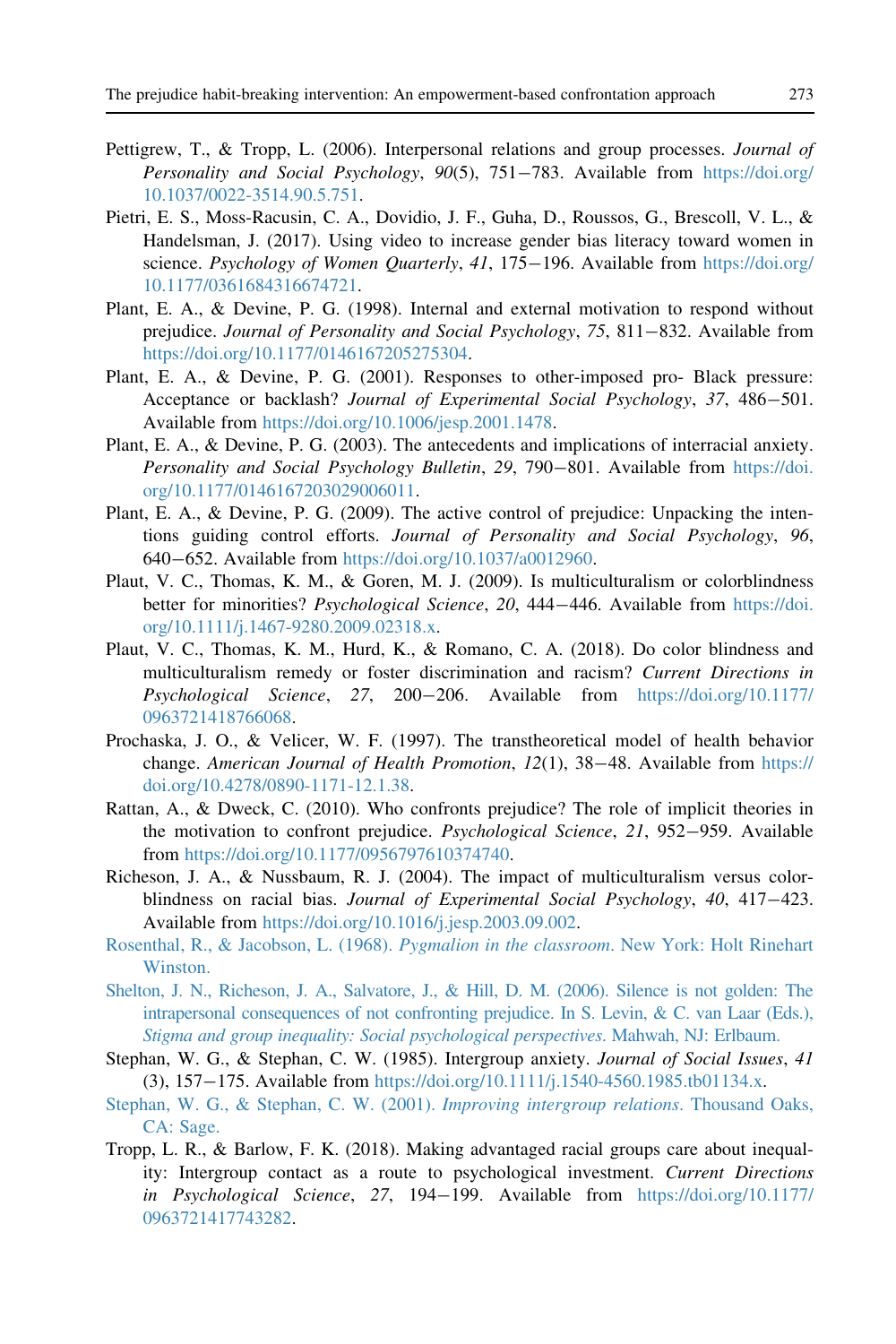- <span id="page-24-0"></span>Pettigrew, T., & Tropp, L. (2006). Interpersonal relations and group processes. Journal of Personality and Social Psychology,  $90(5)$ , 751-783. Available from [https://doi.org/](https://doi.org/10.1037/0022-3514.90.5.751) [10.1037/0022-3514.90.5.751](https://doi.org/10.1037/0022-3514.90.5.751).
- Pietri, E. S., Moss-Racusin, C. A., Dovidio, J. F., Guha, D., Roussos, G., Brescoll, V. L., & Handelsman, J. (2017). Using video to increase gender bias literacy toward women in science. Psychology of Women Quarterly,  $41$ , 175 $-196$ . Available from [https://doi.org/](https://doi.org/10.1177/0361684316674721) [10.1177/0361684316674721](https://doi.org/10.1177/0361684316674721).
- Plant, E. A., & Devine, P. G. (1998). Internal and external motivation to respond without prejudice. Journal of Personality and Social Psychology, 75, 811–832. Available from [https://doi.org/10.1177/0146167205275304.](https://doi.org/10.1177/0146167205275304)
- Plant, E. A., & Devine, P. G. (2001). Responses to other-imposed pro- Black pressure: Acceptance or backlash? Journal of Experimental Social Psychology, 37, 486-501. Available from <https://doi.org/10.1006/jesp.2001.1478>.
- Plant, E. A., & Devine, P. G. (2003). The antecedents and implications of interracial anxiety. Personality and Social Psychology Bulletin, 29, 790-801. Available from [https://doi.](https://doi.org/10.1177/0146167203029006011) [org/10.1177/0146167203029006011](https://doi.org/10.1177/0146167203029006011).
- Plant, E. A., & Devine, P. G. (2009). The active control of prejudice: Unpacking the intentions guiding control efforts. Journal of Personality and Social Psychology, 96, 640–652. Available from [https://doi.org/10.1037/a0012960.](https://doi.org/10.1037/a0012960)
- Plaut, V. C., Thomas, K. M., & Goren, M. J. (2009). Is multiculturalism or colorblindness better for minorities? *Psychological Science*, 20, 444–446. Available from [https://doi.](https://doi.org/10.1111/j.1467-9280.2009.02318.x) [org/10.1111/j.1467-9280.2009.02318.x](https://doi.org/10.1111/j.1467-9280.2009.02318.x).
- Plaut, V. C., Thomas, K. M., Hurd, K., & Romano, C. A. (2018). Do color blindness and multiculturalism remedy or foster discrimination and racism? Current Directions in Psychological Science, 27, 200!206. Available from [https://doi.org/10.1177/](https://doi.org/10.1177/0963721418766068) [0963721418766068.](https://doi.org/10.1177/0963721418766068)
- Prochaska, J. O., & Velicer, W. F. (1997). The transtheoretical model of health behavior change. American Journal of Health Promotion,  $12(1)$ ,  $38-48$ . Available from [https://](https://doi.org/10.4278/0890-1171-12.1.38) [doi.org/10.4278/0890-1171-12.1.38.](https://doi.org/10.4278/0890-1171-12.1.38)
- Rattan, A., & Dweck, C. (2010). Who confronts prejudice? The role of implicit theories in the motivation to confront prejudice. *Psychological Science*, 21, 952–959. Available from [https://doi.org/10.1177/0956797610374740.](https://doi.org/10.1177/0956797610374740)
- Richeson, J. A., & Nussbaum, R. J. (2004). The impact of multiculturalism versus colorblindness on racial bias. Journal of Experimental Social Psychology,  $40$ ,  $417-423$ . Available from [https://doi.org/10.1016/j.jesp.2003.09.002.](https://doi.org/10.1016/j.jesp.2003.09.002)
- [Rosenthal, R., & Jacobson, L. \(1968\).](http://refhub.elsevier.com/B978-0-12-814715-3.00015-1/sbref64) Pygmalion in the classroom. New York: Holt Rinehart [Winston.](http://refhub.elsevier.com/B978-0-12-814715-3.00015-1/sbref64)
- [Shelton, J. N., Richeson, J. A., Salvatore, J., & Hill, D. M. \(2006\). Silence is not golden: The](http://refhub.elsevier.com/B978-0-12-814715-3.00015-1/sbref65) [intrapersonal consequences of not confronting prejudice. In S. Levin, & C. van Laar \(Eds.\),](http://refhub.elsevier.com/B978-0-12-814715-3.00015-1/sbref65) [Stigma and group inequality: Social psychological perspectives](http://refhub.elsevier.com/B978-0-12-814715-3.00015-1/sbref65). Mahwah, NJ: Erlbaum.
- Stephan, W. G., & Stephan, C. W. (1985). Intergroup anxiety. Journal of Social Issues, 41 (3), 157-175. Available from [https://doi.org/10.1111/j.1540-4560.1985.tb01134.x.](https://doi.org/10.1111/j.1540-4560.1985.tb01134.x)
- [Stephan, W. G., & Stephan, C. W. \(2001\).](http://refhub.elsevier.com/B978-0-12-814715-3.00015-1/sbref67) Improving intergroup relations. Thousand Oaks, [CA: Sage.](http://refhub.elsevier.com/B978-0-12-814715-3.00015-1/sbref67)
- Tropp, L. R., & Barlow, F. K. (2018). Making advantaged racial groups care about inequality: Intergroup contact as a route to psychological investment. Current Directions in Psychological Science, 27, 194-199. Available from [https://doi.org/10.1177/](https://doi.org/10.1177/0963721417743282) [0963721417743282.](https://doi.org/10.1177/0963721417743282)